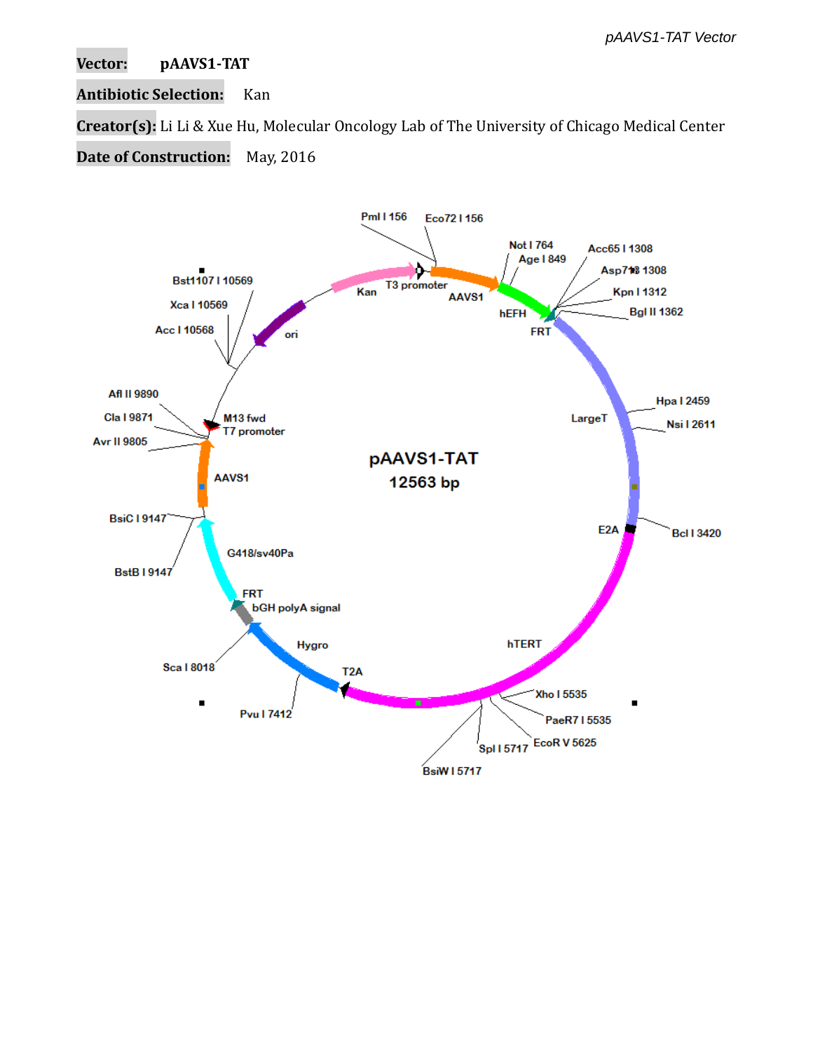## **Vector: pAAVS1-TAT**

# **Antibiotic Selection:** Kan

**Creator(s):** Li Li & Xue Hu, Molecular Oncology Lab of The University of Chicago Medical Center

**Date of Construction:** May, 2016

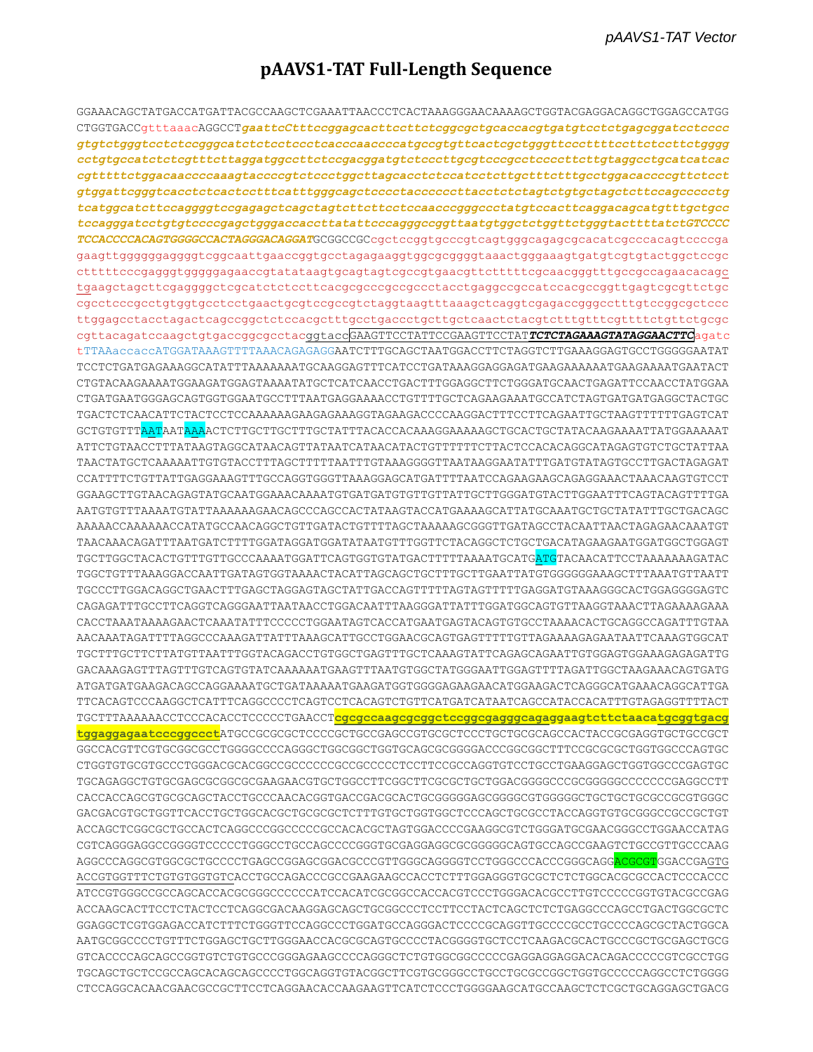# pAAVS1-TAT Full-Length Sequence

GGAAACAGCTATGACCATGATTACGCCAAGCTCGAAATTAACCCTCACTAAAGGGAACAAAAGCTGGTACGAGGACAGGCTGGAGCCATGG CTGGTGACCgtttaaacAGGCCTgaattcCtttccggagcacttccttctcggcgctgcaccacgtgatgtcctctgagcggatcctcccc gtgtctgggtcctctccgggcatctctcctcctcacccaaccccatgccgtgttcactcgctgggttcccttttccttctccttctgggg cctgtgccatctctcgtttcttaggatggccttctccgacggatgtctcccttgcgtcccgcctccccttcttgtaggcctgcatcatcac gtggattcgggtcacctctcactcctttcatttgggcagctcccctaccccccttacctctctagtctgtgctagctcttccagccccctg tcatggcatcttccaggggtccgagagctcagctagtcttcttcctccaacccgggccctatgtccacttcaggacagcatgtttgctgcc tccagggatcctgtgtccccgagctgggaccaccttatattcccagggccggttaatgtggctctggttctgggtacttttatctGTCCCC TCCACCCCACAGTGGGGCCACTAGGGACAGGATGCGGCCGCcgctccggtgcccgtcagtgggcagagcgcacatcgcccacagtccccga gaagttgggggggggggtcggcaattgaaccggtgcctagagaaggtggcgcggggtaaactgggaaagtgatgtcgtgtactggctccgc ctttttcccgagggtggggggagaaccgtatataagtgcagtagtcgccgtgaacgttctttttcgcaacgggtttgccgccagaacacagc cgcctcccgcctgtggtgcctcctgaactgcgtccgccgtctaggtaagtttaaagctcaggtcgagaccgggcctttgtccggcgctccc cgttacagatccaagctgtgaccggcgcctacggtaccGAAGTTCCTATTCCGAAGTTCCTATTCTAGAAAGTATAGGAACTTCagatc tTTAAaccaccATGGATAAAGTTTTAAACAGAGAGGAATCTTTGCAGCTAATGGACCTTCTAGGTCTTGAAAGGAGTGCCTGGGGGAATAT TCCTCTGATGAGAAAGGCATATTTAAAAAAATGCAAGGAGTTTCATCCTGATAAAGGAGGAGATGAAGAAAAATGAAGAAAATGAATACT CTGTACAAGAAAATGGAAGATGGAGTAAAATATGCTCATCAACCTGACTTTGGAGGCTTCTGGGATGCAACTGAGATTCCAACCTATGGAA CTGATGAATGGGAGCAGTGGTGGAATGCCTTTAATGAGGAAAACCTGTTTTGCTCAGAAGAAATGCCATCTAGTGATGATGAGGCTACTGC TGACTCTCAACATTCTACTCCTCCAAAAAAGAAGAGAAAGGTAGAAGACCCCAAGGACTTTCCTTCAGAATTGCTAAGTTTTTTGAGTCAT GCTGTGTTTAATAATAAAACTCTTGCTTTGCTATTTACACCACAAAGGAAAAAGCTGCACTGCTATACAAGAAAATTATGGAAAAAT ATTCTGTAACCTTTATAAGTAGGCATAACAGTTATAATCATAACATACTGTTTTTTCTTACTCACACAGGCATAGAGTGTCTGCTATTAA TAACTATGCTCAAAAATTGTGTACCTTTAGCTTTTTAATTTGTAAAGGGGTTAATAAGGAATATTTGATGTATAGTGCCTTGACTAGAGAT CCATTTTCTGTTATTGAGGAAAGTTTGCCAGGTGGGTTAAAGGAGCATGATTTTAATCCAGAAGAAGCAGAGGAAACTAAACAAGTGTCCT GGAAGCTTGTAACAGAGTATGCAATGGAAACAAAATGTGATGATGTTGTTGTTATTGCTTGGGATGTACTTGGAATTTCAGTACAGTTTTGA AATGTGTTTAAAATGTATTAAAAAAGAACAGCCCAGCCACTATAAGTACCATGAAAAGCATTATGCAAATGCTGCTATATTTGCTGACAGC AAAAACCAAAAAACCATATGCCAACAGGCTGTTGATACTGTTTTAGCTAAAAAGCGGGTTGATAGCCTACAATTAACTAGAGAACAAATGT TGCTTGGCTACACTGTTTGTTGCCCAAAATGGATTCAGTGGTGTATGACTTTTTAAAATGCATGATGTACAACATTCCTAAAAAAAGATAC TGGCTGTTTAAAGGACCAATTGATAGTGGTAAAACTACATTAGCAGCTGCTTTGCTTGAATTATGTGGGGGGAAAGCTTTAAATGTTAATT TGCCCTTGGACAGGCTGAACTTTGAGCTAGGAGTAGCTATTGACCAGTTTTTAGTAGTTTTTGAGGATGTAAAGGGCACTGGAGGGGAGTC CAGAGATTTGCCTTCAGGTCAGGGAATTAATAACCTGGACAATTTAAGGGATTATTTGGATGGCAGTGTTAAGGTAAACTTAGAAAAGAAA AACAAATAGATTTTAGGCCCAAAGATTATTTAAAGCATTGCCTGGAACGCAGTGAGTTTTTGTTAGAAAAGAGAATAATTCAAAGTGGCAT TGCTTTGCTTCTTATGTTAATTTGGTACAGACCTGTGGCTGAGTTTGCTCAAAGTATTCAGAGCAGAATTGTGGAGTGGAAAGAGAGATTG GACAAAGAGTTTAGTTTGTCAGTGTATCAAAAAATGAAGTTTAATGTCTATGGCAATTGGAGTTTTAGAGTTGGCTAAGAAACAGTGATG ATGATGATGAAGACAGCCAGGAAAATGCTGATAAAAATGAAGATGGTGGGGAGAAGAACATGGAAGACTCAGGGCATGAAACAGGCATTGA TTCACAGTCCCAAGGCTCATTTCAGGCCCCTCAGTCCTCACAGTCTGTTCATGATCATAATCAGCCATACCACATTTGTAGAGGTTTTACT TGCTTTAAAAAACCTCCCACACCTCCCCCTGAACCT<mark>cgcgccaagcgcggctccggcgagggcagaggaagtcttctaacatgcggtgacg</mark> tqqaqqaqaatcccqqccctATGCCGCGCGCTCCCGCTGCCGAGCCGTGCGCTCCCTGCGCAGCCACTACCGCGAGGTGCTGCCGCT GGCCACGTTCGTGCGGCGCCTGGGGCCCCAGGGCTGGCGGCTGGTGCAGCGCGGGACCCGGCGGCTTTCCGCGCGCTGGTGGCCCAGTGC TGCAGAGGCTGTGCGAGCGCGGCGCGAAGAACGTGCTGGCCTTCGGCTTCGCGTGCTGGACGGGCCCCCGGGGGCCCCCCCGAGGCCTT GACGACGTGCTGGTTCACCTGCTGGCACGCTGCGCGCTCTTTGTGCTGGTGGCTCCCAGCTGCGCCTACCAGGTGTGCGGGCCGCCGCTGT CGTCAGGGAGGCCGGGGTCCCCCTGGGCCTGCCAGCCCCGGGTGCGAGGAGGCGCGGGGGCAGTGCCAAGCCGAAGTCTGCCGTTGCCCAAG AGGCCCAGGCGTGGCGCTGCCCCTGAGCCGGAGCGGACGCCCGTTGGGCAGGGGTCCTGGGCCACCCGGCAGG<mark>ACGCGT</mark>GGACCGAGTG ACCGTGGTTTCTGTGTGGTGTCACCTGCCAGACCCGCCGAAGAAGCCACCTCTTTGGAGGGTGCGCTCTCTGGCACGCGCCACTCCCACCC ATCCGTGGGCCGCCAGCACCACGCGGGCCCCCATCCACATCGCGGCCACCACGTCCCTGGGACACGCCTTGTCCCCCGGTGTACGCCGAG GGAGGCTCGTGGAGACCATCTTTCTGGGTTCCAGGCCCTGGATGCCAGGGACTCCCCGCAGGTTGCCCCGCCTGCCCCAGCGCTACTGGCA AATGCGGCCCCTGTTTCTGGAGCTGCTTGGGAACCACGCGCAGTGCCCCTACGGGGTGCTCCTCAAGACGCACTGCCCGCTGCGAGCTGCG GTCACCCCAGCAGCCGGTGTCTGTGCCCGGGAGAAGCCCCAGGGCTCTGTGGCGGCCCCCGAGGAGGAGGACACAGACCCCCGTCGCCTGG CTCCAGGCACAACGAACGCCGCTTCCTCAGGAACACCAAGAAGTTCATCTCCCTGGGGAAGCATGCCAAGCTCTCGCTGCAGGAGCTGACG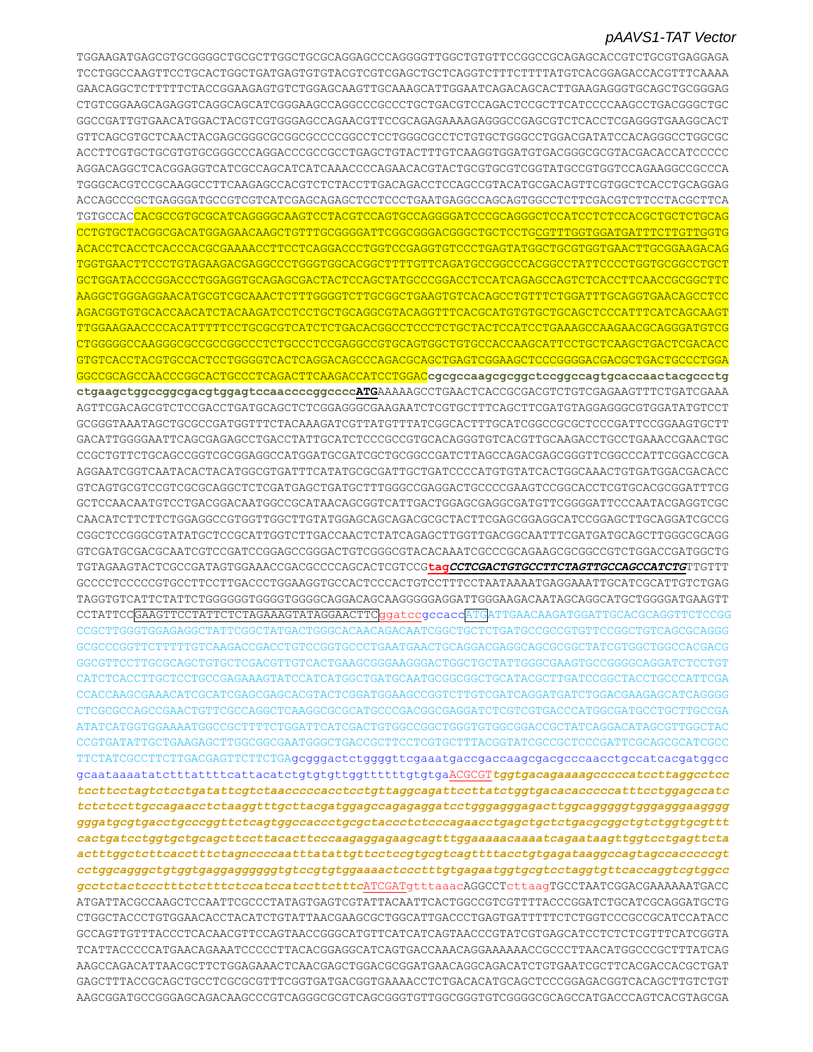TGGAAGATGAGCGTGCGGGGCTGCGCTTGGCTGCGCAGGAGCCCAGGGGTTGGCTGTGTTCCGGCCGCAGAGCACCGTCTGCGTGAGGAGA TCCTGGCCAAGTTCCTGCACTGGCTGATGAGTGTGTACGTCGTCGAGCTGCTCAGGTCTTTCTTTTATGTCACGGAGACCACGTTTCAAAA GAACAGGCTCTTTTTCTACCGGAAGAGTGTCTGGAGCAAGTTGCAAAGCATTGGAATCAGACAGCACTTGAAGAGGGTGCAGCTGCGGGAG CTGTCGGAAGCAGAGGTCAGGCAGCATCGGGAAGCCAGGCCCGCCCTGCTGACGTCCAGACTCCGCTTCATCCCCAAGCCTGACGGGCTGC GGCCGATTGTGAACATGGACTACGTCGTGGGAGCCAGAACGTTCCGCAGAGAAAAGAGGGCCGAGCGTCTCACCTCGAGGGTGAAGGCACT GTTCAGCGTGCTCAACTACGAGCGGGCGCGGCGCCCCGGCCTCCTGGGCGCCTCTGTGCTGGGCCTGGACGATATCCACAGGGCCTGGCGC ACCTTCGTGCTGCGTGTGCGGGCCCAGGACCCGCCGCCTGAGCTGTACTTTGTCAAGGTGGATGTGACGGGCGCGTACGACACCATCCCCC AGGACAGGCTCACGGAGGTCATCGCCAGCATCATCAAACCCCAGAACACGTACTGCGTGCGTCGGTATGCCGTGGTCCAGAAGGCCGCCCA TGGGCACGTCCGCAAGGCCTTCAAGAGCCACGTCTCTACCTTGACAGACCTCCAGCCGTACATGCGACAGTTCGTGGCTCACCTGCAGGAG ACCAGCCCGCTGAGGGATGCCGTCGTCATCGAGCAGAGCTCCTCCCTGAATGAGGCCAGCAGTGGCCTCTTCGACGTCTTCCTACGCTTCA TGTGCCACCACGCCGTGCGCATCAGGGGCAAGTCCTACGTCCAGTGCCAGGGGATCCCGCAGGGCTCCATCCTCTCCACGCTGCTCTGCAG CCTGTGCTACGGCGACATGGAGAACAAGCTGTTTGCGGGGATTCGGCGGGACGGGCTGCTCCTGCGTTTGGTGGATGATTTCTTGTTGGTG ACACCTCACCTCACCCACGCGAAAACCTTCCTCAGGACCCTGGTCCGAGGTGTCCCTGAGTATGGCTGCGTGGTGAACTTGCGGAAGACAG TGGTGAACTTCCCTGTAGAAGACGAGGCCCTGGGTGGCACGGCTTTTGTTCAGATGCCGGCCCACGGCCTATTCCCCTGGTGCGGCCTGCT GCTGGATACCCGGACCCTGGAGGTGCAGAGCGACTACTCCAGCTATGCCCGGACCTCCATCAGAGCCAGTCTCACCTTCAACCGCGGCTTC AAGGCTGGGAGGAACATGCGTCGCAAACTCTTTGGGGTCTTGCGGCTGAAGTGTCACAGCCTGTTTCTGGATTTGCAGGTGAACAGCCTCC AGACGGTGTGCACCAACATCTACAAGATCCTCCTGCTGCAGGCGTACAGGTTTCACGCATGTGTGCTGCAGCTCCCATTTCATCAGCAAGT TTGGAAGAACCCCACATTTTTCCTGCGCGTCATCTCTGACACGGCCTCCCTCTGCTACTCCATCCTGAAAGCCAAGAACGCAGGGATGTCG CTGGGGGCCAAGGGCGCCGCCGGCCCTCTGCCCTCCGAGGCCGTGCAGTGGCTGTGCCACCAAGCATTCCTGCTCAAGCTGACTCGACACC GTGTCACCTACGTGCCACTCCTGGGGTCACTCAGGACAGCCCAGACGCAGCTGAGTCGGAAGCTCCCGGGGACGACGCTGACTGCCCTGGA GGCCGCAGCCAACCCGGCACTGCCCTCAGACTTCAAGACCATCCTGGAC**cgcgccaagcgcggctccggccagtgcaccaactacgccctg ctgaagctggccggcgacgtggagtccaaccccggccccATG**AAAAAGCCTGAACTCACCGCGACGTCTGTCGAGAAGTTTCTGATCGAAA AGTTCGACAGCGTCTCCGACCTGATGCAGCTCTCGGAGGGCGAAGAATCTCGTGCTTTCAGCTTCGATGTAGGAGGGCGTGGATATGTCCT GCGGGTAAATAGCTGCGCCGATGGTTTCTACAAAGATCGTTATGTTTATCGGCACTTTGCATCGGCCGCGCTCCCGATTCCGGAAGTGCTT GACATTGGGGAATTCAGCGAGAGCCTGACCTATTGCATCTCCCGCCGTGCACAGGGTGTCACGTTGCAAGACCTGCCTGAAACCGAACTGC CCGCTGTTCTGCAGCCGGTCGCGGAGGCCATGGATGCGATCGCTGCGGCCGATCTTAGCCAGACGAGCGGGTTCGGCCCATTCGGACCGCA AGGAATCGGTCAATACACTACATGGCGTGATTTCATATGCGCGATTGCTGATCCCCATGTGTATCACTGGCAAACTGTGATGGACGACACC GTCAGTGCGTCCGTCGCGCAGGCTCTCGATGAGCTGATGCTTTGGGCCGAGGACTGCCCCGAAGTCCGGCACCTCGTGCACGCGGATTTCG GCTCCAACAATGTCCTGACGGACAATGGCCGCATAACAGCGGTCATTGACTGGAGCGAGGCGATGTTCGGGGATTCCCAATACGAGGTCGC CAACATCTTCTTCTGGAGGCCGTGGTTGGCTTGTATGGAGCAGCAGACGCGCTACTTCGAGCGGAGGCATCCGGAGCTTGCAGGATCGCCG CGGCTCCGGGCGTATATGCTCCGCATTGGTCTTGACCAACTCTATCAGAGCTTGGTTGACGGCAATTTCGATGATGCAGCTTGGGCGCAGG GTCGATGCGACGCAATCGTCCGATCCGGAGCCGGGACTGTCGGGCGTACACAAATCGCCCGCAGAAGCGCGGCCGTCTGGACCGATGGCTG TGTAGAAGTACTCGCCGATAGTGGAAACCGACGCCCCAGCACTCGTCCG**tag***CCTCGACTGTGCCTTCTAGTTGCCAGCCATCTG*TTGTTT GCCCCTCCCCCGTGCCTTCCTTGACCCTGGAAGGTGCCACTCCCACTGTCCTTTCCTAATAAAATGAGGAAATTGCATCGCATTGTCTGAG TAGGTGTCATTCTATTCTGGGGGGTGGGGTGGGGCAGGACAGCAAGGGGGAGGATTGGGAAGACAATAGCAGGCATGCTGGGGATGAAGTT CCTATTCCGAAGTTCCTATTCTCTAGAAAGTATAGGAACTTCggatccgccaccATGATTGAACAAGATGGATTGCACGCAGGTTCTCCGG CCGCTTGGGTGGAGAGGCTATTCGGCTATGACTGGGCACAACAGACAATCGGCTGCTCTGATGCCGCCGTGTTCCGGCTGTCAGCGCAGGG GCGCCCGGTTCTTTTTGTCAAGACCGACCTGTCCGGTGCCCTGAATGAACTGCAGGACGAGGCAGCGCGGCTATCGTGGCTGGCCACGACG GGCGTTCCTTGCGCAGCTGTGCTCGACGTTGTCACTGAAGCGGGAAGGGACTGGCTGCTATTGGGCGAAGTGCCGGGGCAGGATCTCCTGT CATCTCACCTTGCTCCTGCCGAGAAAGTATCCATCATGGCTGATGCAATGCGGCGGCTGCATACGCTTGATCCGGCTACCTGCCCATTCGA CCACCAAGCGAAACATCGCATCGAGCGAGCACGTACTCGGATGGAAGCCGGTCTTGTCGATCAGGATGATCTGGACGAAGAGCATCAGGGG CTCGCGCCAGCCGAACTGTTCGCCAGGCTCAAGGCGCGCATGCCCGACGGCGAGGATCTCGTCGTGACCCATGGCGATGCCTGCTTGCCGA ATATCATGGTGGAAAATGGCCGCTTTTCTGGATTCATCGACTGTGGCCGGCTGGGTGTGGCGGACCGCTATCAGGACATAGCGTTGGCTAC CCGTGATATTGCTGAAGAGCTTGGCGGCGAATGGGCTGACCGCTTCCTCGTGCTTTACGGTATCGCCGCTCCCGATTCGCAGCGCATCGCC TTCTATCGCCTTCTTGACGAGTTCTTCTGAgcgggactctggggttcgaaatgaccgaccaagcgacgcccaacctgccatcacgatggcc gcaataaaatatctttattttcattacatctgtgtgttggttttttgtgtgaACGCGT*tggtgacagaaaagcccccatccttaggcctcc tccttcctagtctcctgatattcgtctaacccccacctcctgttaggcagattccttatctggtgacacacccccatttcctggagccatc tctctccttgccagaacctctaaggtttgcttacgatggagccagagaggatcctgggagggagacttggcagggggtgggagggaagggg gggatgcgtgacctgcccggttctcagtggccaccctgcgctaccctctcccagaacctgagctgctctgacgcggctgtctggtgcgttt cactgatcctggtgctgcagcttccttacacttcccaagaggagaagcagtttggaaaaacaaaatcagaataagttggtcctgagttcta actttggctcttcacctttctagnccccaatttatattgttcctccgtgcgtcagttttacctgtgagataaggccagtagccacccccgt cctggcagggctgtggtgaggaggggggtgtccgtgtggaaaactccctttgtgagaatggtgcgtcctaggtgttcaccaggtcgtggcc gcctctactccctttctctttctccatccatccttctttc*ATCGATgtttaaacAGGCCTcttaagTGCCTAATCGGACGAAAAAATGACC ATGATTACGCCAAGCTCCAATTCGCCCTATAGTGAGTCGTATTACAATTCACTGGCCGTCGTTTTACCCGGATCTGCATCGCAGGATGCTG CTGGCTACCCTGTGGAACACCTACATCTGTATTAACGAAGCGCTGGCATTGACCCTGAGTGATTTTTCTCTGGTCCCGCCGCATCCATACC GCCAGTTGTTTACCCTCACAACGTTCCAGTAACCGGGCATGTTCATCATCAGTAACCCGTATCGTGAGCATCCTCTCTCGTTTCATCGGTA TCATTACCCCCATGAACAGAAATCCCCCTTACACGGAGGCATCAGTGACCAAACAGGAAAAAACCGCCCTTAACATGGCCCGCTTTATCAG AAGCCAGACATTAACGCTTCTGGAGAAACTCAACGAGCTGGACGCGGATGAACAGGCAGACATCTGTGAATCGCTTCACGACCACGCTGAT GAGCTTTACCGCAGCTGCCTCGCGCGTTTCGGTGATGACGGTGAAAACCTCTGACACATGCAGCTCCCGGAGACGGTCACAGCTTGTCTGT AAGCGGATGCCGGGAGCAGACAAGCCCGTCAGGGCGCGTCAGCGGGTGTTGGCGGGTGTCGGGGCGCAGCCATGACCCAGTCACGTAGCGA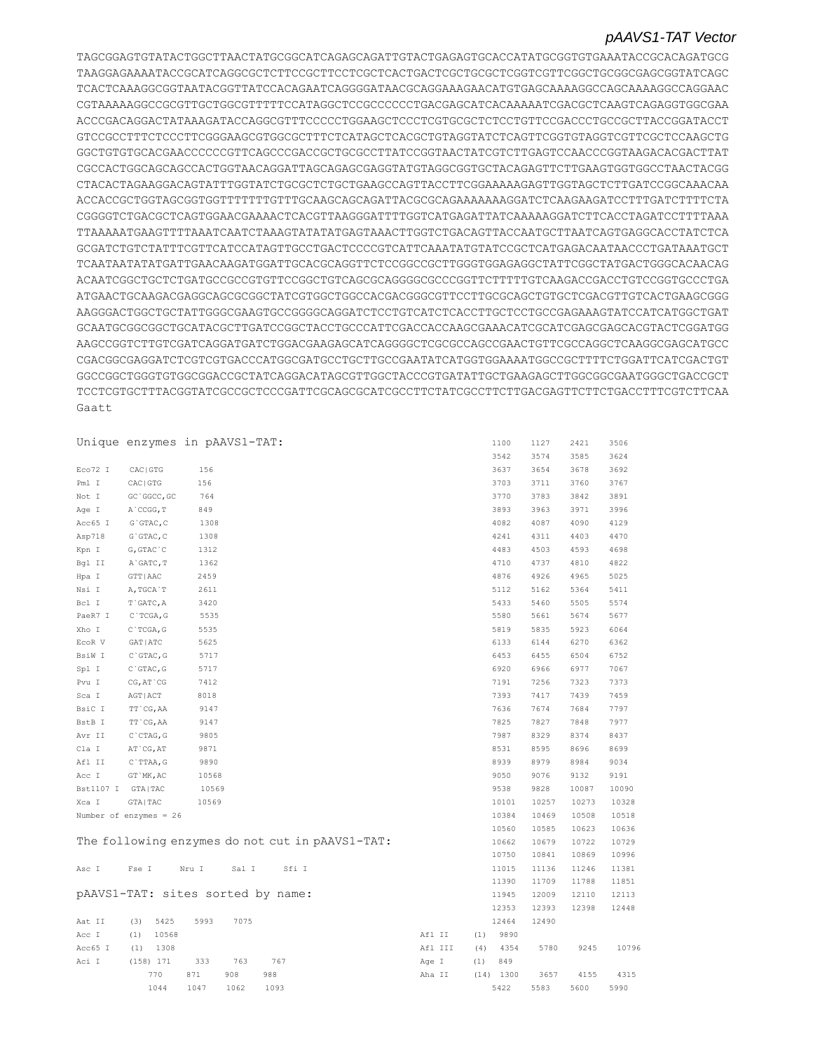TAGCGGAGTGTATACTGGCTTAACTATGCGGCATCAGAGCAGATTGTACTGAGAGTGCACCATATGCGGTGTGAAATACCGCACAGATGCG TAAGGAGAAAATACCGCATCAGGCGCTCTTCCGCTTCCTCGCTCACTGACTCGCTGCGCTCGGTCGTTCGGCTGCGGCGAGCGGTATCAGC TCACTCAAAGGCGGTAATACGGTTATCCACAGAATCAGGGGATAACGCAGGAAAGAACATGTGAGCAAAAGGCCAGCAAAAGGCCAGGAAC CGTAAAAAGGCCGCGTTGCTGGCGTTTTTCCATAGGCTCCGCCCCCCTGACGAGCATCACAAAAATCGACGCTCAAGTCAGAGGTGGCGAA ACCCGACAGGACTATAAAGATACCAGGCGTTTCCCCCTGGAAGCTCCCTCGTGCGCTCTCCTGTTCCGACCCTGCCGCTTACCGGATACCT GTCCGCCTTTCTCCCTTCGGGAAGCGTGGCGCTTTCTCATAGCTCACGCTGTAGGTATCTCAGTTCGGTGTAGGTCGTTCGCTCCAAGCTG GGCTGTGTGCACGAACCCCCCGTTCAGCCCGACCGCTGCGCCTTATCCGGTAACTATCGTCTTGAGTCCAACCCGGTAAGACACGACTTAT CGCCACTGGCAGCAGCCACTGGTAACAGGATTAGCAGAGCGAGGTATGTAGGCGGTGCTACAGAGTTCTTGAAGTGGTGGCCTAACTACGG CTACACTAGAAGGACAGTATTTGGTATCTGCGCTCTGCTGAAGCCAGTTACCTTCGGAAAAAGAGTTGGTAGCTCTTGATCCGGCAAACAA ACCACCGCTGGTAGCGGTGGTTTTTTTGTTTGCAAGCAGCAGATTACGCGCAGAAAAAAAGGATCTCAAGAAGATCCTTTGATCTTTTCTA CGGGGTCTGACGCTCAGTGGAACGAAAACTCACGTTAAGGGATTTTGGTCATGAGATTATCAAAAAGGATCTTCACCTAGATCCTTTTAAA TTAAAAATGAAGTTTTAAATCAATCTAAAGTATATATGAGTAAACTTGGTCTGACAGTTACCAATGCTTAATCAGTGAGGCACCTATCTCA GCGATCTGTCTATTTCGTTCATCCATAGTTGCCTGACTCCCCGTCATTCAAATATGTATCCGCTCATGAGACAATAACCCTGATAAATGCT TCAATAATATATGATTGAACAAGATGGATTGCACGCAGGTTCTCCGGCCGCTTGGGTGGAGAGGCTATTCGGCTATGACTGGGCACAACAG ACAATCGGCTGCTCTGATGCCGCCGTGTTCCGGCTGTCAGCGCAGGGGCGCCCGGTTCTTTTTGTCAAGACCGACCTGTCCGGTGCCCTGA ATGAACTGCAAGACGAGGCAGCGCGGCTATCGTGGCTGGCCACGACGGGCGTTCCTTGCGCAGCTGTGCTCGACGTTGTCACTGAAGCGGG AAGGGACTGGCTGCTATTGGGCGAAGTGCCGGGGCAGGATCTCCTGTCATCTCACCTTGCTCCTGCCGAGAAAGTATCCATCATGGCTGAT GCAATGCGGCGGCTGCATACGCTTGATCCGGCTACCTGCCCATTCGACCACCAAGCGAAACATCGCATCGAGCGAGCACGTACTCGGATGG AAGCCGGTCTTGTCGATCAGGATGATCTGGACGAAGAGCATCAGGGGCTCGCGCCAGCCGAACTGTTCGCCAGGCTCAAGGCGAGCATGCC CGACGGCGAGGATCTCGTCGTGACCCATGGCGATGCCTGCTTGCCGAATATCATGGTGGAAAATGGCCGCTTTTCTGGATTCATCGACTGT GGCCGGCTGGGTGTGGCGGACCGCTATCAGGACATAGCGTTGGCTACCCGTGATATTGCTGAAGAGCTTGGCGGCGAATGGGCTGACCGCT TCCTCGTGCTTTACGGTATCGCCGCTCCCGATTCGCAGCGCATCGCCTTCTATCGCCTTCTTGACGAGTTCTTCTGACCTTTCGTCTTCAA Gaatt

|           | Unique enzymes in pAAVS1-TAT:     |       |       |       |                                                 |        |         |     | 1100        | 1127  | 2421  | 3506  |
|-----------|-----------------------------------|-------|-------|-------|-------------------------------------------------|--------|---------|-----|-------------|-------|-------|-------|
|           |                                   |       |       |       |                                                 |        |         |     | 3542        | 3574  | 3585  | 3624  |
| Eco72 I   | CAC   GTG                         | 156   |       |       |                                                 |        |         |     | 3637        | 3654  | 3678  | 3692  |
| Pml I     | CAC   GTG                         | 156   |       |       |                                                 |        |         |     | 3703        | 3711  | 3760  | 3767  |
| Not I     | GC `GGCC, GC                      | 764   |       |       |                                                 |        |         |     | 3770        | 3783  | 3842  | 3891  |
| Age I     | A CCGG, T                         | 849   |       |       |                                                 |        |         |     | 3893        | 3963  | 3971  | 3996  |
| Acc65 I   | $G$ GTAC, $C$                     | 1308  |       |       |                                                 |        |         |     | 4082        | 4087  | 4090  | 4129  |
| Asp718    | $G$ GTAC, $C$                     | 1308  |       |       |                                                 |        |         |     | 4241        | 4311  | 4403  | 4470  |
| Kpn I     | $G, GTAC$ $C$                     | 1312  |       |       |                                                 |        |         |     | 4483        | 4503  | 4593  | 4698  |
| Bgl II    | A GATC, T                         | 1362  |       |       |                                                 |        |         |     | 4710        | 4737  | 4810  | 4822  |
| Hpa I     | GTT   AAC                         | 2459  |       |       |                                                 |        |         |     | 4876        | 4926  | 4965  | 5025  |
| Nsi I     | A, TGCA `T                        | 2611  |       |       |                                                 |        |         |     | 5112        | 5162  | 5364  | 5411  |
| Bcl I     | T`GATC, A                         | 3420  |       |       |                                                 |        |         |     | 5433        | 5460  | 5505  | 5574  |
| PaeR7 I   | C`TCGA, G                         | 5535  |       |       |                                                 |        |         |     | 5580        | 5661  | 5674  | 5677  |
| Xho I     | $C$ TCGA, G                       | 5535  |       |       |                                                 |        |         |     | 5819        | 5835  | 5923  | 6064  |
| ECOR V    | GAT   ATC                         | 5625  |       |       |                                                 |        |         |     | 6133        | 6144  | 6270  | 6362  |
| BsiW I    | $C$ GTAC, G                       | 5717  |       |       |                                                 |        |         |     | 6453        | 6455  | 6504  | 6752  |
| Spl I     | $C$ GTAC, G                       | 5717  |       |       |                                                 |        |         |     | 6920        | 6966  | 6977  | 7067  |
| Pvu I     | CG, AT `CG                        | 7412  |       |       |                                                 |        |         |     | 7191        | 7256  | 7323  | 7373  |
| Sca I     | AGT   ACT                         | 8018  |       |       |                                                 |        |         |     | 7393        | 7417  | 7439  | 7459  |
| BsiC I    | TT CG, AA                         | 9147  |       |       |                                                 |        |         |     | 7636        | 7674  | 7684  | 7797  |
| BstB I    | TT CG, AA                         | 9147  |       |       |                                                 |        |         |     | 7825        | 7827  | 7848  | 7977  |
| Avr II    | $C$ $CTAG$ , $G$                  | 9805  |       |       |                                                 |        |         |     | 7987        | 8329  | 8374  | 8437  |
| Cla I     | AT CG, AT                         | 9871  |       |       |                                                 |        |         |     | 8531        | 8595  | 8696  | 8699  |
| Afl II    | C`TTAA, G                         | 9890  |       |       |                                                 |        |         |     | 8939        | 8979  | 8984  | 9034  |
| Acc I     | GT `MK, AC                        | 10568 |       |       |                                                 |        |         |     | 9050        | 9076  | 9132  | 9191  |
| Bst1107 I | GTA   TAC                         | 10569 |       |       |                                                 |        |         |     | 9538        | 9828  | 10087 | 10090 |
| Xca I     | GTA   TAC                         | 10569 |       |       |                                                 |        |         |     | 10101       | 10257 | 10273 | 10328 |
|           | Number of enzymes = $26$          |       |       |       |                                                 |        |         |     | 10384       | 10469 | 10508 | 10518 |
|           |                                   |       |       |       |                                                 |        |         |     | 10560       | 10585 | 10623 | 10636 |
|           |                                   |       |       |       | The following enzymes do not cut in pAAVS1-TAT: |        |         |     | 10662       | 10679 | 10722 | 10729 |
|           |                                   |       |       |       |                                                 |        |         |     | 10750       | 10841 | 10869 | 10996 |
| Asc I     | Fse I                             | Nru I | Sal I | Sfi I |                                                 |        |         |     | 11015       | 11136 | 11246 | 11381 |
|           |                                   |       |       |       |                                                 |        |         |     | 11390       | 11709 | 11788 | 11851 |
|           | pAAVS1-TAT: sites sorted by name: |       |       |       |                                                 |        |         |     | 11945       | 12009 | 12110 | 12113 |
|           |                                   |       |       |       |                                                 |        |         |     | 12353       | 12393 | 12398 | 12448 |
| Aat II    | 5425<br>(3)                       | 5993  | 7075  |       |                                                 |        |         |     | 12464       | 12490 |       |       |
| Acc I     | 10568<br>(1)                      |       |       |       |                                                 | Afl II |         | (1) | 9890        |       |       |       |
| Acc65 I   | 1308<br>(1)                       |       |       |       |                                                 |        | Afl III | (4) | 4354        | 5780  | 9245  | 10796 |
| Aci I     | (158) 171                         | 333   | 763   | 767   |                                                 | Age I  |         | (1) | 849         |       |       |       |
|           | 770                               | 871   | 908   | 988   |                                                 | Aha II |         |     | $(14)$ 1300 | 3657  | 4155  | 4315  |
|           | 1044                              | 1047  | 1062  | 1093  |                                                 |        |         |     | 5422        | 5583  | 5600  | 5990  |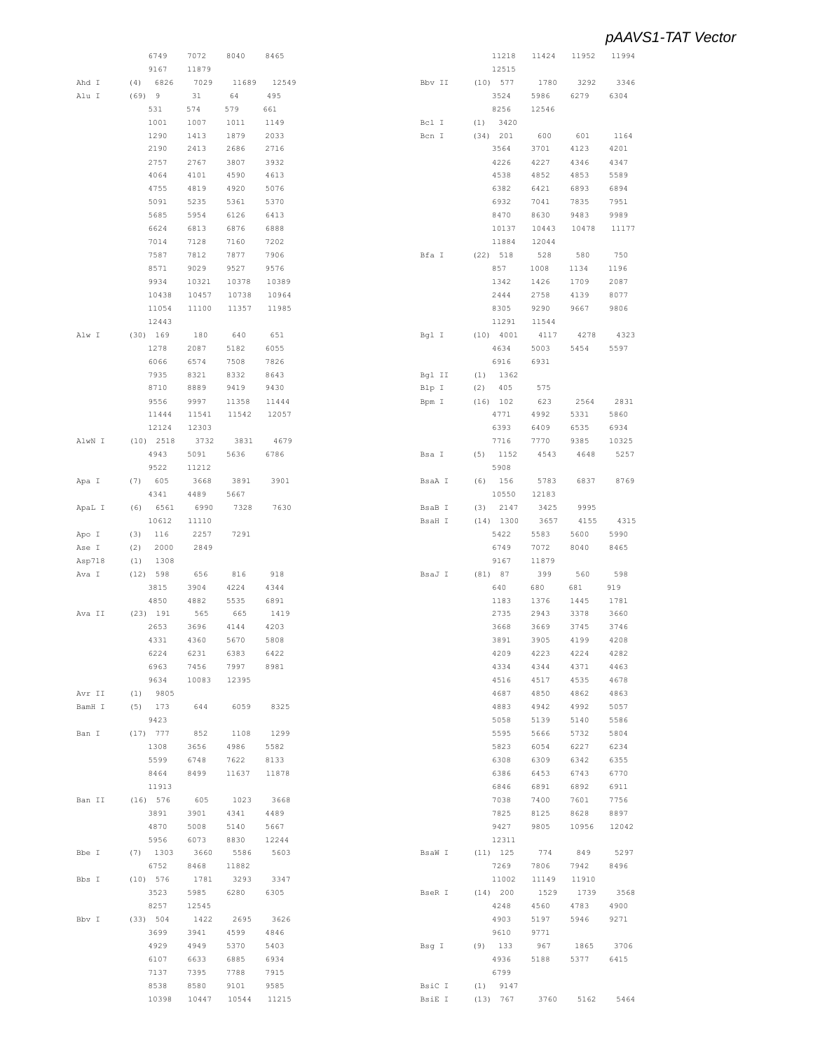|        | 6749        | 7072         | 8040  | 8465  |       |               | 11218       | 11424 | 11952 | 11994 |
|--------|-------------|--------------|-------|-------|-------|---------------|-------------|-------|-------|-------|
|        | 9167        | 11879        |       |       |       |               | 12515       |       |       |       |
| Ahd I  | 6826<br>(4) | 7029         | 11689 | 12549 |       | Bbv II        | $(10)$ 577  | 1780  | 3292  | 3346  |
| Alu I  | $(69)$ 9    | 31           | 64    | 495   |       |               | 3524        | 5986  | 6279  | 6304  |
|        |             |              |       |       |       |               |             |       |       |       |
|        | 531         | 574          | 579   | 661   |       |               | 8256        | 12546 |       |       |
|        | 1001        | 1007         | 1011  | 1149  | Bcl I | (1)           | 3420        |       |       |       |
|        | 1290        | 1413         | 1879  | 2033  | Bcn I |               | (34) 201    | 600   | 601   | 1164  |
|        | 2190        | 2413         | 2686  | 2716  |       |               | 3564        | 3701  | 4123  | 4201  |
|        | 2757        | 2767         | 3807  | 3932  |       |               | 4226        | 4227  | 4346  | 4347  |
|        | 4064        | 4101         | 4590  | 4613  |       |               | 4538        | 4852  | 4853  | 5589  |
|        |             |              |       |       |       |               |             |       |       |       |
|        | 4755        | 4819         | 4920  | 5076  |       |               | 6382        | 6421  | 6893  | 6894  |
|        | 5091        | 5235         | 5361  | 5370  |       |               | 6932        | 7041  | 7835  | 7951  |
|        | 5685        | 5954         | 6126  | 6413  |       |               | 8470        | 8630  | 9483  | 9989  |
|        | 6624        | 6813         | 6876  | 6888  |       |               | 10137       | 10443 | 10478 | 11177 |
|        | 7014        | 7128         | 7160  | 7202  |       |               | 11884       | 12044 |       |       |
|        |             |              |       |       |       |               |             |       |       |       |
|        | 7587        | 7812         | 7877  | 7906  | Bfa I |               | $(22)$ 518  | 528   | 580   | 750   |
|        | 8571        | 9029         | 9527  | 9576  |       |               | 857         | 1008  | 1134  | 1196  |
|        | 9934        | 10321        | 10378 | 10389 |       |               | 1342        | 1426  | 1709  | 2087  |
|        | 10438       | 10457        | 10738 | 10964 |       |               | 2444        | 2758  | 4139  | 8077  |
|        | 11054       | 11100        | 11357 | 11985 |       |               | 8305        | 9290  | 9667  | 9806  |
|        |             |              |       |       |       |               |             |       |       |       |
|        | 12443       |              |       |       |       |               | 11291       | 11544 |       |       |
| Alw I  | $(30)$ 169  | 180          | 640   | 651   | Bgl I |               | $(10)$ 4001 | 4117  | 4278  | 4323  |
|        | 1278        | 2087         | 5182  | 6055  |       |               | 4634        | 5003  | 5454  | 5597  |
|        | 6066        | 6574         | 7508  | 7826  |       |               | 6916        | 6931  |       |       |
|        | 7935        | 8321         | 8332  | 8643  |       | Bgl II<br>(1) | 1362        |       |       |       |
|        |             |              |       |       |       |               |             |       |       |       |
|        | 8710        | 8889         | 9419  | 9430  | Blp I | (2)           | 405         | 575   |       |       |
|        | 9556        | 9997         | 11358 | 11444 | Bpm I |               | (16) 102    | 623   | 2564  | 2831  |
|        | 11444       | 11541        | 11542 | 12057 |       |               | 4771        | 4992  | 5331  | 5860  |
|        | 12124       | 12303        |       |       |       |               | 6393        | 6409  | 6535  | 6934  |
| AlwN I | $(10)$ 2518 | 3732         | 3831  | 4679  |       |               | 7716        | 7770  | 9385  | 10325 |
|        | 4943        | 5091         | 5636  | 6786  | Bsa I | (5)           | 1152        | 4543  | 4648  | 5257  |
|        |             |              |       |       |       |               |             |       |       |       |
|        | 9522        | 11212        |       |       |       |               | 5908        |       |       |       |
| Apa I  | (7) 605     | 3668         | 3891  | 3901  |       | BsaA I        | $(6)$ 156   | 5783  | 6837  | 8769  |
|        | 4341        | 4489         | 5667  |       |       |               | 10550       | 12183 |       |       |
| ApaL I | (6) 6561    | 6990         | 7328  | 7630  |       | BsaB I<br>(3) | 2147        | 3425  | 9995  |       |
|        | 10612       | 11110        |       |       |       | BsaH I        | $(14)$ 1300 | 3657  | 4155  | 4315  |
|        |             |              |       |       |       |               |             |       |       |       |
| Apo I  | (3)<br>116  | 2257         | 7291  |       |       |               | 5422        | 5583  | 5600  | 5990  |
| Ase I  | (2)         | 2000<br>2849 |       |       |       |               | 6749        | 7072  | 8040  | 8465  |
| Asp718 | (1)         | 1308         |       |       |       |               | 9167        | 11879 |       |       |
| Ava I  | $(12)$ 598  | 656          | 816   | 918   |       | BsaJ I        | (81) 87     | 399   | 560   | 598   |
|        | 3815        | 3904         | 4224  | 4344  |       |               | 640         | 680   | 681   | 919   |
|        | 4850        | 4882         |       | 6891  |       |               |             |       |       | 1781  |
|        |             |              | 5535  |       |       |               | 1183        | 1376  | 1445  |       |
| Ava II | (23) 191    | 565          | 665   | 1419  |       |               | 2735        | 2943  | 3378  | 3660  |
|        | 2653        | 3696         | 4144  | 4203  |       |               | 3668        | 3669  | 3745  | 3746  |
|        | 4331        | 4360         | 5670  | 5808  |       |               | 3891        | 3905  | 4199  | 4208  |
|        | 6224        | 6231         | 6383  | 6422  |       |               | 4209        | 4223  | 4224  | 4282  |
|        | 6963        | 7456         | 7997  | 8981  |       |               | 4334        | 4344  | 4371  | 4463  |
|        |             |              |       |       |       |               |             |       |       |       |
|        | 9634        | 10083        | 12395 |       |       |               | 4516        | 4517  | 4535  | 4678  |
| Avr II | $(1)$ 9805  |              |       |       |       |               | 4687        | 4850  | 4862  | 4863  |
| BamH I | $(5)$ 173   | 644          | 6059  | 8325  |       |               | 4883        | 4942  | 4992  | 5057  |
|        | 9423        |              |       |       |       |               | 5058        | 5139  | 5140  | 5586  |
| Ban I  | $(17)$ 777  | 852          | 1108  | 1299  |       |               | 5595        | 5666  | 5732  | 5804  |
|        |             |              |       |       |       |               |             |       |       |       |
|        | 1308        | 3656         | 4986  | 5582  |       |               | 5823        | 6054  | 6227  | 6234  |
|        | 5599        | 6748         | 7622  | 8133  |       |               | 6308        | 6309  | 6342  | 6355  |
|        | 8464        | 8499         | 11637 | 11878 |       |               | 6386        | 6453  | 6743  | 6770  |
|        | 11913       |              |       |       |       |               | 6846        | 6891  | 6892  | 6911  |
| Ban II | (16) 576    | 605          | 1023  | 3668  |       |               | 7038        | 7400  | 7601  | 7756  |
|        |             |              |       |       |       |               |             |       |       |       |
|        | 3891        | 3901         | 4341  | 4489  |       |               | 7825        | 8125  | 8628  | 8897  |
|        | 4870        | 5008         | 5140  | 5667  |       |               | 9427        | 9805  | 10956 | 12042 |
|        | 5956        | 6073         | 8830  | 12244 |       |               | 12311       |       |       |       |
| Bbe I  | $(7)$ 1303  | 3660         | 5586  | 5603  |       | BsaW I        | $(11)$ 125  | 774   | 849   | 5297  |
|        | 6752        | 8468         | 11882 |       |       |               | 7269        | 7806  | 7942  | 8496  |
|        |             |              |       |       |       |               |             |       |       |       |
| Bbs I  | $(10)$ 576  | 1781         | 3293  | 3347  |       |               | 11002       | 11149 | 11910 |       |
|        | 3523        | 5985         | 6280  | 6305  |       | BseR I        | $(14)$ 200  | 1529  | 1739  | 3568  |
|        | 8257        | 12545        |       |       |       |               | 4248        | 4560  | 4783  | 4900  |
| Bbv I  | (33) 504    | 1422         | 2695  | 3626  |       |               | 4903        | 5197  | 5946  | 9271  |
|        | 3699        | 3941         | 4599  | 4846  |       |               | 9610        | 9771  |       |       |
|        | 4929        | 4949         | 5370  | 5403  | Bsq I |               | $(9)$ 133   | 967   | 1865  | 3706  |
|        |             |              |       |       |       |               |             |       |       |       |
|        | 6107        | 6633         | 6885  | 6934  |       |               | 4936        | 5188  | 5377  | 6415  |
|        | 7137        | 7395         | 7788  | 7915  |       |               | 6799        |       |       |       |
|        | 8538        | 8580         | 9101  | 9585  |       | BsiC I        | $(1)$ 9147  |       |       |       |
|        | 10398       | 10447        | 10544 | 11215 |       | BsiE I        | (13) 767    | 3760  | 5162  | 5464  |
|        |             |              |       |       |       |               |             |       |       |       |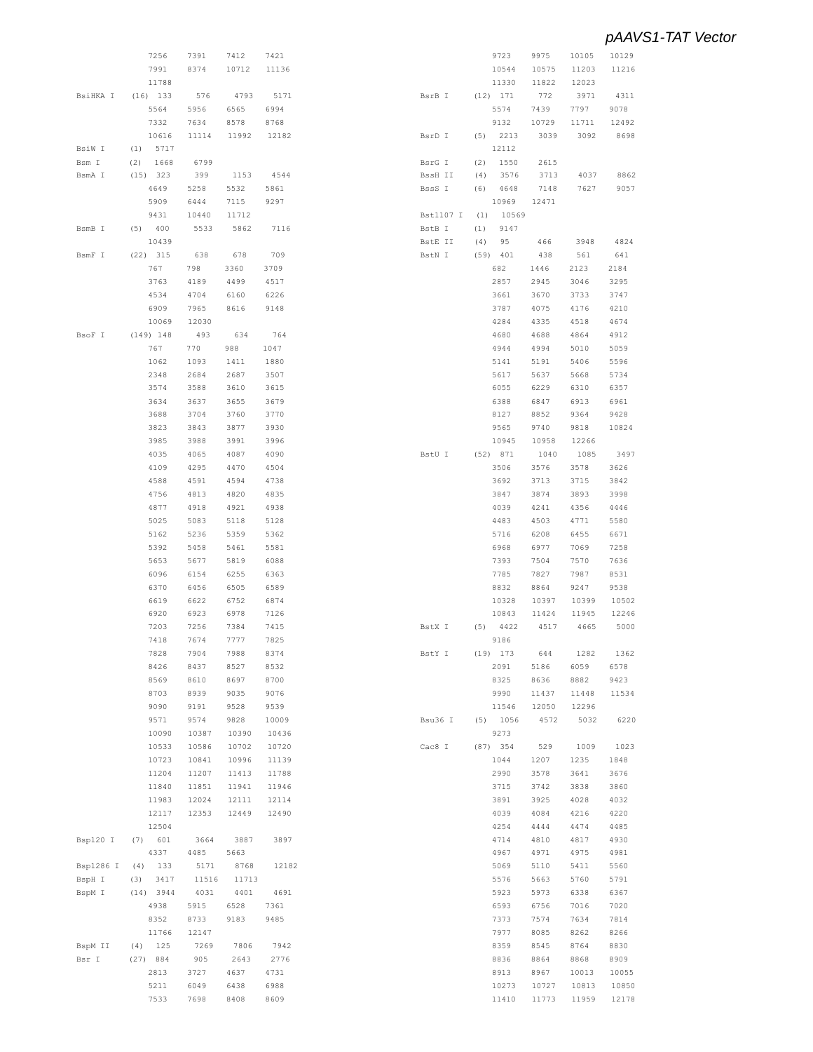|           | 7256        | 7391  | 7412  | 7421  |           |     | 9723       | 9975  | 10105 | 10129 |
|-----------|-------------|-------|-------|-------|-----------|-----|------------|-------|-------|-------|
|           | 7991        | 8374  | 10712 | 11136 |           |     | 10544      | 10575 | 11203 | 11216 |
|           | 11788       |       |       |       |           |     | 11330      | 11822 | 12023 |       |
| BsiHKA I  | $(16)$ 133  | 576   | 4793  | 5171  | BsrB I    |     | $(12)$ 171 | 772   | 3971  | 4311  |
|           | 5564        | 5956  | 6565  | 6994  |           |     | 5574       | 7439  | 7797  | 9078  |
|           |             |       |       |       |           |     |            |       |       |       |
|           | 7332        | 7634  | 8578  | 8768  |           |     | 9132       | 10729 | 11711 | 12492 |
|           | 10616       | 11114 | 11992 | 12182 | BsrD I    | (5) | 2213       | 3039  | 3092  | 8698  |
| BsiW I    | (1)<br>5717 |       |       |       |           |     | 12112      |       |       |       |
| Bsm I     | 1668<br>(2) | 6799  |       |       | BsrG I    | (2) | 1550       | 2615  |       |       |
| BsmA I    | (15) 323    | 399   | 1153  | 4544  | BssH II   | (4) | 3576       | 3713  | 4037  | 8862  |
|           | 4649        | 5258  | 5532  | 5861  | BssS I    | (6) | 4648       | 7148  | 7627  | 9057  |
|           | 5909        | 6444  | 7115  | 9297  |           |     | 10969      | 12471 |       |       |
|           | 9431        | 10440 | 11712 |       | Bst1107 I | (1) | 10569      |       |       |       |
| BsmB I    | (5) 400     | 5533  | 5862  | 7116  | BstB I    | (1) | 9147       |       |       |       |
|           | 10439       |       |       |       | BstE II   | (4) | 95         | 466   | 3948  | 4824  |
| BsmF I    | $(22)$ 315  | 638   | 678   | 709   | BstN I    |     | $(59)$ 401 | 438   | 561   | 641   |
|           | 767         | 798   | 3360  | 3709  |           |     | 682        | 1446  | 2123  | 2184  |
|           | 3763        | 4189  | 4499  | 4517  |           |     | 2857       | 2945  | 3046  | 3295  |
|           | 4534        | 4704  | 6160  | 6226  |           |     | 3661       | 3670  | 3733  | 3747  |
|           |             |       |       |       |           |     |            |       |       |       |
|           | 6909        | 7965  | 8616  | 9148  |           |     | 3787       | 4075  | 4176  | 4210  |
|           | 10069       | 12030 |       |       |           |     | 4284       | 4335  | 4518  | 4674  |
| BsoF I    | $(149)$ 148 | 493   | 634   | 764   |           |     | 4680       | 4688  | 4864  | 4912  |
|           | 767         | 770   | 988   | 1047  |           |     | 4944       | 4994  | 5010  | 5059  |
|           | 1062        | 1093  | 1411  | 1880  |           |     | 5141       | 5191  | 5406  | 5596  |
|           | 2348        | 2684  | 2687  | 3507  |           |     | 5617       | 5637  | 5668  | 5734  |
|           | 3574        | 3588  | 3610  | 3615  |           |     | 6055       | 6229  | 6310  | 6357  |
|           | 3634        | 3637  | 3655  | 3679  |           |     | 6388       | 6847  | 6913  | 6961  |
|           | 3688        | 3704  | 3760  | 3770  |           |     | 8127       | 8852  | 9364  | 9428  |
|           | 3823        | 3843  | 3877  | 3930  |           |     | 9565       | 9740  | 9818  | 10824 |
|           | 3985        | 3988  | 3991  | 3996  |           |     | 10945      | 10958 | 12266 |       |
|           |             | 4065  |       |       |           |     |            |       |       |       |
|           | 4035        |       | 4087  | 4090  | BstU I    |     | (52) 871   | 1040  | 1085  | 3497  |
|           | 4109        | 4295  | 4470  | 4504  |           |     | 3506       | 3576  | 3578  | 3626  |
|           | 4588        | 4591  | 4594  | 4738  |           |     | 3692       | 3713  | 3715  | 3842  |
|           | 4756        | 4813  | 4820  | 4835  |           |     | 3847       | 3874  | 3893  | 3998  |
|           | 4877        | 4918  | 4921  | 4938  |           |     | 4039       | 4241  | 4356  | 4446  |
|           | 5025        | 5083  | 5118  | 5128  |           |     | 4483       | 4503  | 4771  | 5580  |
|           | 5162        | 5236  | 5359  | 5362  |           |     | 5716       | 6208  | 6455  | 6671  |
|           | 5392        | 5458  | 5461  | 5581  |           |     | 6968       | 6977  | 7069  | 7258  |
|           | 5653        | 5677  | 5819  | 6088  |           |     | 7393       | 7504  | 7570  | 7636  |
|           | 6096        | 6154  | 6255  | 6363  |           |     | 7785       | 7827  | 7987  | 8531  |
|           | 6370        | 6456  | 6505  | 6589  |           |     | 8832       | 8864  | 9247  | 9538  |
|           | 6619        | 6622  | 6752  | 6874  |           |     | 10328      | 10397 | 10399 | 10502 |
|           |             |       |       |       |           |     |            |       |       |       |
|           | 6920        | 6923  | 6978  | 7126  |           |     | 10843      | 11424 | 11945 | 12246 |
|           | 7203        | 7256  | 7384  | 7415  | BstX I    | (5) | 4422       | 4517  | 4665  | 5000  |
|           | 7418        | 7674  | 7777  | 7825  |           |     | 9186       |       |       |       |
|           | 7828        | 7904  | 7988  | 8374  | BstY I    |     | $(19)$ 173 | 644   | 1282  | 1362  |
|           | 8426        | 8437  | 8527  | 8532  |           |     | 2091       | 5186  | 6059  | 6578  |
|           | 8569        | 8610  | 8697  | 8700  |           |     | 8325       | 8636  | 8882  | 9423  |
|           | 8703        | 8939  | 9035  | 9076  |           |     | 9990       | 11437 | 11448 | 11534 |
|           | 9090        | 9191  | 9528  | 9539  |           |     | 11546      | 12050 | 12296 |       |
|           | 9571        | 9574  | 9828  | 10009 | Bsu36 I   |     | $(5)$ 1056 | 4572  | 5032  | 6220  |
|           | 10090       | 10387 | 10390 | 10436 |           |     | 9273       |       |       |       |
|           | 10533       | 10586 | 10702 | 10720 | Cac8 I    |     | $(87)$ 354 | 529   | 1009  | 1023  |
|           | 10723       | 10841 | 10996 | 11139 |           |     | 1044       | 1207  | 1235  | 1848  |
|           |             |       |       |       |           |     |            |       |       |       |
|           | 11204       | 11207 | 11413 | 11788 |           |     | 2990       | 3578  | 3641  | 3676  |
|           | 11840       | 11851 | 11941 | 11946 |           |     | 3715       | 3742  | 3838  | 3860  |
|           | 11983       | 12024 | 12111 | 12114 |           |     | 3891       | 3925  | 4028  | 4032  |
|           | 12117       | 12353 | 12449 | 12490 |           |     | 4039       | 4084  | 4216  | 4220  |
|           | 12504       |       |       |       |           |     | 4254       | 4444  | 4474  | 4485  |
| Bsp120 I  | (7) 601     | 3664  | 3887  | 3897  |           |     | 4714       | 4810  | 4817  | 4930  |
|           | 4337        | 4485  | 5663  |       |           |     | 4967       | 4971  | 4975  | 4981  |
| Bsp1286 I | $(4)$ 133   | 5171  | 8768  | 12182 |           |     | 5069       | 5110  | 5411  | 5560  |
| BspH I    | (3)<br>3417 | 11516 | 11713 |       |           |     | 5576       | 5663  | 5760  | 5791  |
| BspM I    | $(14)$ 3944 | 4031  | 4401  | 4691  |           |     | 5923       | 5973  | 6338  | 6367  |
|           | 4938        | 5915  | 6528  | 7361  |           |     | 6593       | 6756  | 7016  | 7020  |
|           |             |       |       |       |           |     |            |       |       |       |
|           | 8352        | 8733  | 9183  | 9485  |           |     | 7373       | 7574  | 7634  | 7814  |
|           | 11766       | 12147 |       |       |           |     | 7977       | 8085  | 8262  | 8266  |
| BspM II   | $(4)$ 125   | 7269  | 7806  | 7942  |           |     | 8359       | 8545  | 8764  | 8830  |
| Bsr I     | (27) 884    | 905   | 2643  | 2776  |           |     | 8836       | 8864  | 8868  | 8909  |
|           | 2813        | 3727  | 4637  | 4731  |           |     | 8913       | 8967  | 10013 | 10055 |
|           | 5211        | 6049  | 6438  | 6988  |           |     | 10273      | 10727 | 10813 | 10850 |
|           | 7533        | 7698  | 8408  | 8609  |           |     | 11410      | 11773 | 11959 | 12178 |
|           |             |       |       |       |           |     |            |       |       |       |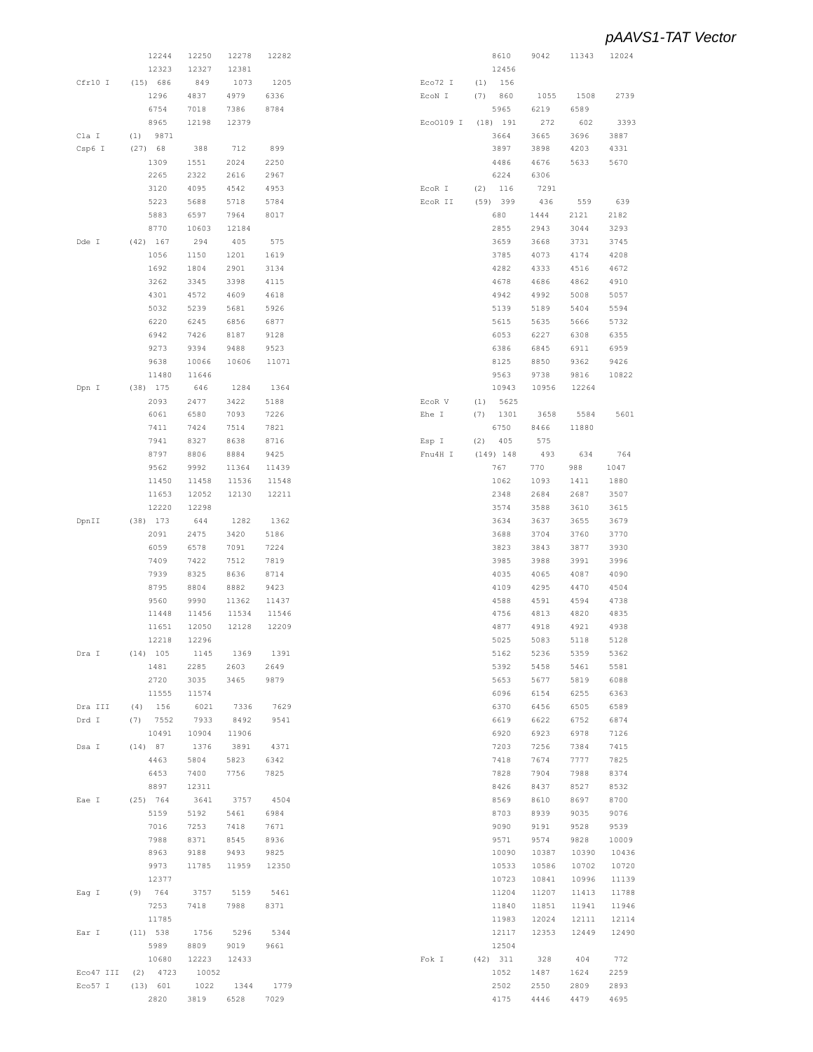|           | 12244       | 12250 | 12278 | 12282 |           |     | 8610        | 9042  | 11343 | 12024 |
|-----------|-------------|-------|-------|-------|-----------|-----|-------------|-------|-------|-------|
|           | 12323       | 12327 | 12381 |       |           |     | 12456       |       |       |       |
| Cfr10 I   | (15) 686    | 849   | 1073  | 1205  | Eco72 I   | (1) | 156         |       |       |       |
|           | 1296        | 4837  | 4979  | 6336  | ECON I    | (7) | 860         | 1055  | 1508  | 2739  |
|           | 6754        | 7018  | 7386  | 8784  |           |     | 5965        | 6219  | 6589  |       |
|           | 8965        | 12198 | 12379 |       | Eco0109 I |     | (18) 191    | 272   | 602   | 3393  |
| Cla I     | 9871<br>(1) |       |       |       |           |     | 3664        | 3665  | 3696  | 3887  |
|           |             |       |       |       |           |     |             |       |       |       |
| Csp6 I    | $(27)$ 68   | 388   | 712   | 899   |           |     | 3897        | 3898  | 4203  | 4331  |
|           | 1309        | 1551  | 2024  | 2250  |           |     | 4486        | 4676  | 5633  | 5670  |
|           | 2265        | 2322  | 2616  | 2967  |           |     | 6224        | 6306  |       |       |
|           | 3120        | 4095  | 4542  | 4953  | ECOR I    | (2) | 116         | 7291  |       |       |
|           | 5223        | 5688  | 5718  | 5784  | ECOR II   |     | (59) 399    | 436   | 559   | 639   |
|           | 5883        | 6597  | 7964  | 8017  |           |     | 680         | 1444  | 2121  | 2182  |
|           | 8770        | 10603 | 12184 |       |           |     | 2855        | 2943  | 3044  | 3293  |
| Dde I     | $(42)$ 167  | 294   | 405   | 575   |           |     | 3659        | 3668  | 3731  | 3745  |
|           |             |       |       |       |           |     |             |       |       |       |
|           | 1056        | 1150  | 1201  | 1619  |           |     | 3785        | 4073  | 4174  | 4208  |
|           | 1692        | 1804  | 2901  | 3134  |           |     | 4282        | 4333  | 4516  | 4672  |
|           | 3262        | 3345  | 3398  | 4115  |           |     | 4678        | 4686  | 4862  | 4910  |
|           | 4301        | 4572  | 4609  | 4618  |           |     | 4942        | 4992  | 5008  | 5057  |
|           | 5032        | 5239  | 5681  | 5926  |           |     | 5139        | 5189  | 5404  | 5594  |
|           | 6220        | 6245  | 6856  | 6877  |           |     | 5615        | 5635  | 5666  | 5732  |
|           | 6942        | 7426  | 8187  | 9128  |           |     | 6053        | 6227  | 6308  | 6355  |
|           | 9273        | 9394  | 9488  | 9523  |           |     | 6386        | 6845  | 6911  | 6959  |
|           |             | 10066 | 10606 | 11071 |           |     | 8125        |       |       | 9426  |
|           | 9638        |       |       |       |           |     |             | 8850  | 9362  |       |
|           | 11480       | 11646 |       |       |           |     | 9563        | 9738  | 9816  | 10822 |
| Dpn I     | $(38)$ 175  | 646   | 1284  | 1364  |           |     | 10943       | 10956 | 12264 |       |
|           | 2093        | 2477  | 3422  | 5188  | ECOR V    | (1) | 5625        |       |       |       |
|           | 6061        | 6580  | 7093  | 7226  | Ehe I     | (7) | 1301        | 3658  | 5584  | 5601  |
|           | 7411        | 7424  | 7514  | 7821  |           |     | 6750        | 8466  | 11880 |       |
|           | 7941        | 8327  | 8638  | 8716  | Esp I     | (2) | 405         | 575   |       |       |
|           | 8797        | 8806  | 8884  | 9425  | Fnu4H I   |     | $(149)$ 148 | 493   | 634   | 764   |
|           |             |       |       |       |           |     |             |       |       |       |
|           | 9562        | 9992  | 11364 | 11439 |           |     | 767         | 770   | 988   | 1047  |
|           | 11450       | 11458 | 11536 | 11548 |           |     | 1062        | 1093  | 1411  | 1880  |
|           | 11653       | 12052 | 12130 | 12211 |           |     | 2348        | 2684  | 2687  | 3507  |
|           | 12220       | 12298 |       |       |           |     | 3574        | 3588  | 3610  | 3615  |
| DpnII     | $(38)$ 173  | 644   | 1282  | 1362  |           |     | 3634        | 3637  | 3655  | 3679  |
|           | 2091        | 2475  | 3420  | 5186  |           |     | 3688        | 3704  | 3760  | 3770  |
|           | 6059        | 6578  | 7091  | 7224  |           |     | 3823        | 3843  | 3877  | 3930  |
|           | 7409        | 7422  | 7512  | 7819  |           |     | 3985        | 3988  | 3991  | 3996  |
|           | 7939        | 8325  | 8636  | 8714  |           |     |             | 4065  |       | 4090  |
|           |             |       |       |       |           |     | 4035        |       | 4087  |       |
|           | 8795        | 8804  | 8882  | 9423  |           |     | 4109        | 4295  | 4470  | 4504  |
|           | 9560        | 9990  | 11362 | 11437 |           |     | 4588        | 4591  | 4594  | 4738  |
|           | 11448       | 11456 | 11534 | 11546 |           |     | 4756        | 4813  | 4820  | 4835  |
|           | 11651       | 12050 | 12128 | 12209 |           |     | 4877        | 4918  | 4921  | 4938  |
|           | 12218       | 12296 |       |       |           |     | 5025        | 5083  | 5118  | 5128  |
| Dra I     | $(14)$ 105  | 1145  | 1369  | 1391  |           |     | 5162        | 5236  | 5359  | 5362  |
|           | 1481        | 2285  | 2603  | 2649  |           |     | 5392        | 5458  | 5461  | 5581  |
|           | 2720        | 3035  | 3465  | 9879  |           |     | 5653        | 5677  | 5819  | 6088  |
|           |             |       |       |       |           |     |             |       |       |       |
|           | 11555       | 11574 |       |       |           |     | 6096        | 6154  | 6255  | 6363  |
| Dra III   | $(4)$ 156   | 6021  | 7336  | 7629  |           |     | 6370        | 6456  | 6505  | 6589  |
| Drd I     | $(7)$ 7552  | 7933  | 8492  | 9541  |           |     | 6619        | 6622  | 6752  | 6874  |
|           | 10491       | 10904 | 11906 |       |           |     | 6920        | 6923  | 6978  | 7126  |
| Dsa I     | $(14)$ 87   | 1376  | 3891  | 4371  |           |     | 7203        | 7256  | 7384  | 7415  |
|           | 4463        | 5804  | 5823  | 6342  |           |     | 7418        | 7674  | 7777  | 7825  |
|           | 6453        | 7400  | 7756  | 7825  |           |     | 7828        | 7904  | 7988  | 8374  |
|           | 8897        | 12311 |       |       |           |     | 8426        | 8437  | 8527  | 8532  |
| Eae I     | (25) 764    | 3641  | 3757  | 4504  |           |     | 8569        | 8610  | 8697  | 8700  |
|           | 5159        |       |       |       |           |     |             |       |       |       |
|           |             | 5192  | 5461  | 6984  |           |     | 8703        | 8939  | 9035  | 9076  |
|           | 7016        | 7253  | 7418  | 7671  |           |     | 9090        | 9191  | 9528  | 9539  |
|           | 7988        | 8371  | 8545  | 8936  |           |     | 9571        | 9574  | 9828  | 10009 |
|           | 8963        | 9188  | 9493  | 9825  |           |     | 10090       | 10387 | 10390 | 10436 |
|           | 9973        | 11785 | 11959 | 12350 |           |     | 10533       | 10586 | 10702 | 10720 |
|           | 12377       |       |       |       |           |     | 10723       | 10841 | 10996 | 11139 |
| Eag I     | (9) 764     | 3757  | 5159  | 5461  |           |     | 11204       | 11207 | 11413 | 11788 |
|           | 7253        | 7418  | 7988  | 8371  |           |     | 11840       |       | 11941 | 11946 |
|           |             |       |       |       |           |     |             | 11851 |       |       |
|           | 11785       |       |       |       |           |     | 11983       | 12024 | 12111 | 12114 |
| Ear I     | (11) 538    | 1756  | 5296  | 5344  |           |     | 12117       | 12353 | 12449 | 12490 |
|           | 5989        | 8809  | 9019  | 9661  |           |     | 12504       |       |       |       |
|           | 10680       | 12223 | 12433 |       | Fok I     |     | $(42)$ 311  | 328   | 404   | 772   |
| Eco47 III | $(2)$ 4723  | 10052 |       |       |           |     | 1052        | 1487  | 1624  | 2259  |
| Eco57 I   | (13) 601    | 1022  | 1344  | 1779  |           |     | 2502        | 2550  | 2809  | 2893  |
|           | 2820        | 3819  | 6528  | 7029  |           |     | 4175        | 4446  | 4479  | 4695  |
|           |             |       |       |       |           |     |             |       |       |       |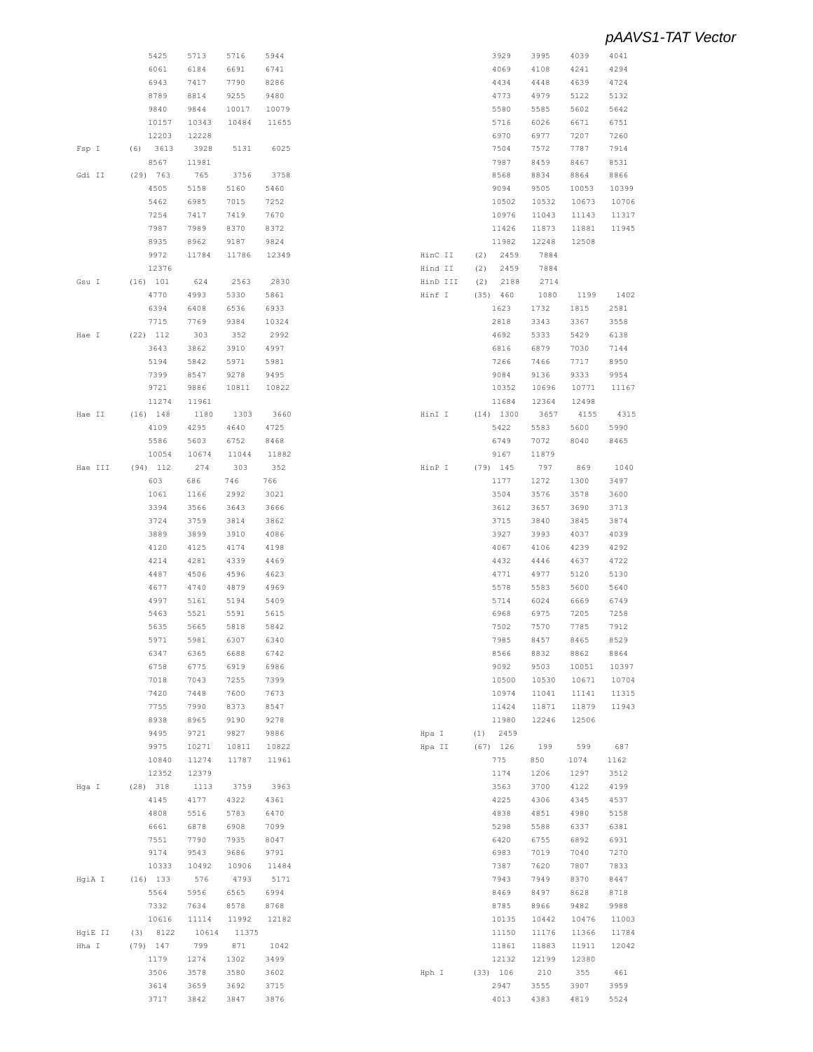|         | 5425        | 5713  | 5716  | 5944  |          |      | 3929        | 3995  | 4039  | 4041  |
|---------|-------------|-------|-------|-------|----------|------|-------------|-------|-------|-------|
|         | 6061        | 6184  | 6691  | 6741  |          |      | 4069        | 4108  | 4241  | 4294  |
|         | 6943        | 7417  | 7790  | 8286  |          |      | 4434        | 4448  | 4639  | 4724  |
|         | 8789        | 8814  | 9255  | 9480  |          |      | 4773        | 4979  | 5122  | 5132  |
|         |             |       |       |       |          |      |             |       |       |       |
|         | 9840        | 9844  | 10017 | 10079 |          |      | 5580        | 5585  | 5602  | 5642  |
|         | 10157       | 10343 | 10484 | 11655 |          |      | 5716        | 6026  | 6671  | 6751  |
|         | 12203       | 12228 |       |       |          |      | 6970        | 6977  | 7207  | 7260  |
| Fsp I   | (6)<br>3613 | 3928  | 5131  | 6025  |          |      | 7504        | 7572  | 7787  | 7914  |
|         | 8567        | 11981 |       |       |          |      | 7987        | 8459  | 8467  | 8531  |
|         |             |       |       |       |          |      |             |       |       |       |
| Gdi II  | (29) 763    | 765   | 3756  | 3758  |          |      | 8568        | 8834  | 8864  | 8866  |
|         | 4505        | 5158  | 5160  | 5460  |          |      | 9094        | 9505  | 10053 | 10399 |
|         | 5462        | 6985  | 7015  | 7252  |          |      | 10502       | 10532 | 10673 | 10706 |
|         | 7254        | 7417  | 7419  | 7670  |          |      | 10976       | 11043 | 11143 | 11317 |
|         | 7987        | 7989  | 8370  | 8372  |          |      | 11426       | 11873 | 11881 | 11945 |
|         |             |       |       |       |          |      |             |       |       |       |
|         | 8935        | 8962  | 9187  | 9824  |          |      | 11982       | 12248 | 12508 |       |
|         | 9972        | 11784 | 11786 | 12349 | HinC II  | (2)  | 2459        | 7884  |       |       |
|         | 12376       |       |       |       | Hind II  | (2)  | 2459        | 7884  |       |       |
| Gsu I   | (16) 101    | 624   | 2563  | 2830  | HinD III | (2)  | 2188        | 2714  |       |       |
|         | 4770        | 4993  | 5330  | 5861  | Hinf I   | (35) | 460         | 1080  | 1199  | 1402  |
|         |             |       |       |       |          |      |             |       |       |       |
|         | 6394        | 6408  | 6536  | 6933  |          |      | 1623        | 1732  | 1815  | 2581  |
|         | 7715        | 7769  | 9384  | 10324 |          |      | 2818        | 3343  | 3367  | 3558  |
| Hae I   | $(22)$ 112  | 303   | 352   | 2992  |          |      | 4692        | 5333  | 5429  | 6138  |
|         | 3643        | 3862  | 3910  | 4997  |          |      | 6816        | 6879  | 7030  | 7144  |
|         | 5194        | 5842  | 5971  | 5981  |          |      | 7266        | 7466  | 7717  | 8950  |
|         |             |       |       |       |          |      |             |       |       |       |
|         | 7399        | 8547  | 9278  | 9495  |          |      | 9084        | 9136  | 9333  | 9954  |
|         | 9721        | 9886  | 10811 | 10822 |          |      | 10352       | 10696 | 10771 | 11167 |
|         | 11274       | 11961 |       |       |          |      | 11684       | 12364 | 12498 |       |
| Hae II  | $(16)$ 148  | 1180  | 1303  | 3660  | HinI I   |      | $(14)$ 1300 | 3657  | 4155  | 4315  |
|         | 4109        | 4295  | 4640  | 4725  |          |      | 5422        | 5583  | 5600  | 5990  |
|         | 5586        | 5603  | 6752  | 8468  |          |      | 6749        | 7072  | 8040  | 8465  |
|         |             |       |       |       |          |      |             |       |       |       |
|         | 10054       | 10674 | 11044 | 11882 |          |      | 9167        | 11879 |       |       |
| Hae III | $(94)$ 112  | 274   | 303   | 352   | HinP I   |      | $(79)$ 145  | 797   | 869   | 1040  |
|         | 603         | 686   | 746   | 766   |          |      | 1177        | 1272  | 1300  | 3497  |
|         | 1061        | 1166  | 2992  | 3021  |          |      | 3504        | 3576  | 3578  | 3600  |
|         | 3394        | 3566  | 3643  | 3666  |          |      | 3612        | 3657  | 3690  | 3713  |
|         |             |       |       |       |          |      |             |       |       |       |
|         | 3724        | 3759  | 3814  | 3862  |          |      | 3715        | 3840  | 3845  | 3874  |
|         | 3889        | 3899  | 3910  | 4086  |          |      | 3927        | 3993  | 4037  | 4039  |
|         | 4120        | 4125  | 4174  | 4198  |          |      | 4067        | 4106  | 4239  | 4292  |
|         | 4214        | 4281  | 4339  | 4469  |          |      | 4432        | 4446  | 4637  | 4722  |
|         | 4487        | 4506  | 4596  | 4623  |          |      | 4771        | 4977  | 5120  | 5130  |
|         |             |       |       |       |          |      |             |       |       |       |
|         | 4677        | 4740  | 4879  | 4969  |          |      | 5578        | 5583  | 5600  | 5640  |
|         | 4997        | 5161  | 5194  | 5409  |          |      | 5714        | 6024  | 6669  | 6749  |
|         | 5463        | 5521  | 5591  | 5615  |          |      | 6968        | 6975  | 7205  | 7258  |
|         | 5635        | 5665  | 5818  | 5842  |          |      | 7502        | 7570  | 7785  | 7912  |
|         | 5971        | 5981  | 6307  | 6340  |          |      | 7985        | 8457  | 8465  | 8529  |
|         |             |       |       | 6742  |          |      |             |       |       | 8864  |
|         | 6347        | 6365  | 6688  |       |          |      | 8566        | 8832  | 8862  |       |
|         | 6758        | 6775  | 6919  | 6986  |          |      | 9092        | 9503  | 10051 | 10397 |
|         | 7018        | 7043  | 7255  | 7399  |          |      | 10500       | 10530 | 10671 | 10704 |
|         | 7420        | 7448  | 7600  | 7673  |          |      | 10974       | 11041 | 11141 | 11315 |
|         | 7755        | 7990  | 8373  | 8547  |          |      | 11424       | 11871 | 11879 | 11943 |
|         | 8938        | 8965  | 9190  | 9278  |          |      | 11980       | 12246 | 12506 |       |
|         |             |       |       |       |          |      |             |       |       |       |
|         | 9495        | 9721  | 9827  | 9886  | Hpa I    | (1)  | 2459        |       |       |       |
|         | 9975        | 10271 | 10811 | 10822 | Hpa II   |      | $(67)$ 126  | 199   | 599   | 687   |
|         | 10840       | 11274 | 11787 | 11961 |          |      | 775         | 850   | 1074  | 1162  |
|         | 12352       | 12379 |       |       |          |      | 1174        | 1206  | 1297  | 3512  |
| Hga I   | $(28)$ 318  | 1113  | 3759  | 3963  |          |      | 3563        | 3700  | 4122  | 4199  |
|         | 4145        | 4177  | 4322  | 4361  |          |      | 4225        | 4306  | 4345  | 4537  |
|         |             |       |       |       |          |      |             |       |       |       |
|         | 4808        | 5516  | 5783  | 6470  |          |      | 4838        | 4851  | 4980  | 5158  |
|         | 6661        | 6878  | 6908  | 7099  |          |      | 5298        | 5588  | 6337  | 6381  |
|         | 7551        | 7790  | 7935  | 8047  |          |      | 6420        | 6755  | 6892  | 6931  |
|         | 9174        | 9543  | 9686  | 9791  |          |      | 6983        | 7019  | 7040  | 7270  |
|         | 10333       | 10492 | 10906 | 11484 |          |      | 7387        | 7620  | 7807  | 7833  |
|         |             |       |       |       |          |      |             |       |       |       |
| HgiA I  | $(16)$ 133  | 576   | 4793  | 5171  |          |      | 7943        | 7949  | 8370  | 8447  |
|         | 5564        | 5956  | 6565  | 6994  |          |      | 8469        | 8497  | 8628  | 8718  |
|         | 7332        | 7634  | 8578  | 8768  |          |      | 8785        | 8966  | 9482  | 9988  |
|         | 10616       | 11114 | 11992 | 12182 |          |      | 10135       | 10442 | 10476 | 11003 |
| HgiE II | 8122<br>(3) | 10614 | 11375 |       |          |      | 11150       | 11176 | 11366 | 11784 |
| Hha I   | $(79)$ 147  | 799   | 871   | 1042  |          |      | 11861       | 11883 | 11911 | 12042 |
|         |             |       |       |       |          |      |             |       |       |       |
|         | 1179        | 1274  | 1302  | 3499  |          |      | 12132       | 12199 | 12380 |       |
|         | 3506        | 3578  | 3580  | 3602  | Hph I    |      | (33) 106    | 210   | 355   | 461   |
|         | 3614        | 3659  | 3692  | 3715  |          |      | 2947        | 3555  | 3907  | 3959  |
|         | 3717        | 3842  | 3847  | 3876  |          |      | 4013        | 4383  | 4819  | 5524  |
|         |             |       |       |       |          |      |             |       |       |       |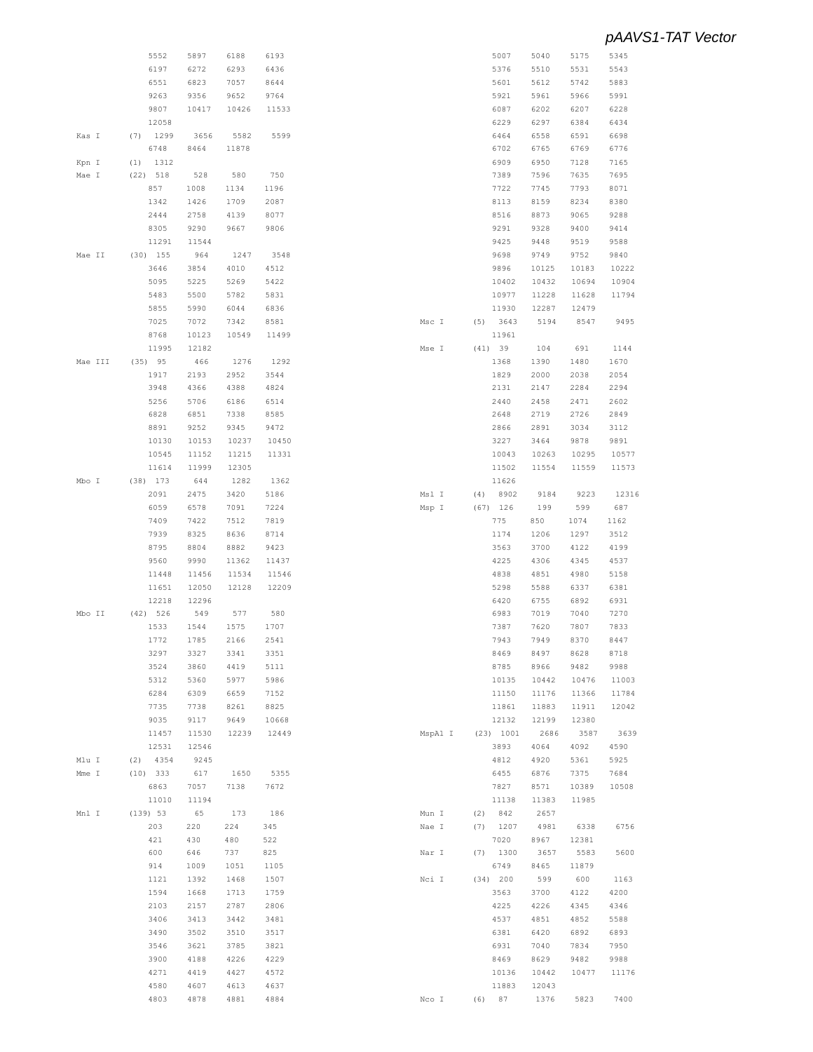|                | 5552         | 5897         | 6188         | 6193         |         |     | 5007            | 5040          | 5175  | 5345  |
|----------------|--------------|--------------|--------------|--------------|---------|-----|-----------------|---------------|-------|-------|
|                | 6197         | 6272         | 6293         | 6436         |         |     | 5376            | 5510          | 5531  | 5543  |
|                |              |              |              |              |         |     |                 |               |       |       |
|                | 6551         | 6823         | 7057         | 8644         |         |     | 5601            | 5612          | 5742  | 5883  |
|                | 9263         | 9356         | 9652         | 9764         |         |     | 5921            | 5961          | 5966  | 5991  |
|                | 9807         | 10417        | 10426        | 11533        |         |     | 6087            | 6202          | 6207  | 6228  |
|                | 12058        |              |              |              |         |     | 6229            | 6297          | 6384  | 6434  |
| Kas I          | $(7)$ 1299   | 3656         | 5582         | 5599         |         |     | 6464            | 6558          | 6591  | 6698  |
|                |              |              |              |              |         |     |                 |               |       |       |
|                | 6748         | 8464         | 11878        |              |         |     | 6702            | 6765          | 6769  | 6776  |
| Kpn I          | $(1)$ 1312   |              |              |              |         |     | 6909            | 6950          | 7128  | 7165  |
| Mae I          | $(22)$ 518   | 528          | 580          | 750          |         |     | 7389            | 7596          | 7635  | 7695  |
|                | 857          | 1008         | 1134         | 1196         |         |     | 7722            | 7745          | 7793  | 8071  |
|                | 1342         | 1426         | 1709         | 2087         |         |     | 8113            | 8159          | 8234  | 8380  |
|                |              |              |              |              |         |     |                 |               |       |       |
|                | 2444         | 2758         | 4139         | 8077         |         |     | 8516            | 8873          | 9065  | 9288  |
|                | 8305         | 9290         | 9667         | 9806         |         |     | 9291            | 9328          | 9400  | 9414  |
|                | 11291        | 11544        |              |              |         |     | 9425            | 9448          | 9519  | 9588  |
| Mae II         | $(30)$ 155   | 964          | 1247         | 3548         |         |     | 9698            | 9749          | 9752  | 9840  |
|                |              |              |              |              |         |     |                 |               |       |       |
|                | 3646         | 3854         | 4010         | 4512         |         |     | 9896            | 10125         | 10183 | 10222 |
|                | 5095         | 5225         | 5269         | 5422         |         |     | 10402           | 10432         | 10694 | 10904 |
|                | 5483         | 5500         | 5782         | 5831         |         |     | 10977           | 11228         | 11628 | 11794 |
|                | 5855         | 5990         | 6044         | 6836         |         |     | 11930           | 12287         | 12479 |       |
|                |              | 7072         |              |              |         |     |                 | 5194          |       | 9495  |
|                | 7025         |              | 7342         | 8581         | Msc I   |     | (5) 3643        |               | 8547  |       |
|                | 8768         | 10123        | 10549        | 11499        |         |     | 11961           |               |       |       |
|                | 11995        | 12182        |              |              | Mse I   |     | (41) 39         | 104           | 691   | 1144  |
| Mae III        | $(35)$ 95    | 466          | 1276         | 1292         |         |     | 1368            | 1390          | 1480  | 1670  |
|                | 1917         | 2193         | 2952         | 3544         |         |     | 1829            | 2000          | 2038  | 2054  |
|                |              |              |              |              |         |     |                 |               |       |       |
|                | 3948         | 4366         | 4388         | 4824         |         |     | 2131            | 2147          | 2284  | 2294  |
|                | 5256         | 5706         | 6186         | 6514         |         |     | 2440            | 2458          | 2471  | 2602  |
|                | 6828         | 6851         | 7338         | 8585         |         |     | 2648            | 2719          | 2726  | 2849  |
|                | 8891         | 9252         | 9345         | 9472         |         |     | 2866            | 2891          | 3034  | 3112  |
|                | 10130        | 10153        | 10237        | 10450        |         |     | 3227            | 3464          | 9878  | 9891  |
|                |              |              |              |              |         |     |                 |               |       |       |
|                | 10545        | 11152        | 11215        | 11331        |         |     | 10043           | 10263         | 10295 | 10577 |
|                | 11614        | 11999        | 12305        |              |         |     | 11502           | 11554         | 11559 | 11573 |
| Mbo I          | $(38)$ 173   | 644          | 1282         | 1362         |         |     | 11626           |               |       |       |
|                | 2091         | 2475         | 3420         | 5186         | Msl I   | (4) | 8902            | 9184          | 9223  | 12316 |
|                | 6059         | 6578         | 7091         | 7224         | Msp I   |     | $(67)$ 126      | 199           | 599   | 687   |
|                |              |              |              |              |         |     |                 |               |       |       |
|                | 7409         | 7422         | 7512         | 7819         |         |     | 775             | 850           | 1074  | 1162  |
|                | 7939         | 8325         | 8636         | 8714         |         |     | 1174            | 1206          | 1297  | 3512  |
|                | 8795         | 8804         | 8882         | 9423         |         |     | 3563            | 3700          | 4122  | 4199  |
|                | 9560         | 9990         | 11362        | 11437        |         |     | 4225            | 4306          | 4345  | 4537  |
|                |              |              |              |              |         |     |                 |               |       |       |
|                | 11448        | 11456        | 11534        | 11546        |         |     | 4838            | 4851          | 4980  | 5158  |
|                | 11651        | 12050        | 12128        | 12209        |         |     | 5298            | 5588          | 6337  | 6381  |
|                | 12218        | 12296        |              |              |         |     | 6420            | 6755          | 6892  | 6931  |
| Mbo II         | (42) 526     | 549          | 577          | 580          |         |     | 6983            | 7019          | 7040  | 7270  |
|                | 1533         | 1544         | 1575         | 1707         |         |     | 7387            | 7620          | 7807  | 7833  |
|                |              |              |              |              |         |     |                 |               |       |       |
|                |              |              | 2166         | 2541         |         |     | 7943            | 7949          | 8370  | 8447  |
|                | 1772         | 1785         |              |              |         |     |                 |               |       |       |
|                | 3297         | 3327         | 3341         | 3351         |         |     | 8469            | 8497          | 8628  | 8718  |
|                | 3524         | 3860         | 4419         | 5111         |         |     | 8785            | 8966          | 9482  | 9988  |
|                |              |              |              |              |         |     |                 |               |       |       |
|                | 5312         | 5360         | 5977         | 5986         |         |     | 10135           | 10442         | 10476 | 11003 |
|                | 6284         | 6309         | 6659         | 7152         |         |     | 11150           | 11176         | 11366 | 11784 |
|                | 7735         | 7738         | 8261         | 8825         |         |     | 11861           | 11883         | 11911 | 12042 |
|                | 9035         | 9117         | 9649         | 10668        |         |     | 12132           | 12199         | 12380 |       |
|                | 11457        | 11530        | 12239        | 12449        | MspA1 I |     | (23) 1001       | 2686          | 3587  | 3639  |
|                | 12531        | 12546        |              |              |         |     | 3893            | 4064          | 4092  | 4590  |
|                |              |              |              |              |         |     |                 |               |       |       |
|                | $(2)$ 4354   | 9245         |              |              |         |     | 4812            | 4920          | 5361  | 5925  |
|                | $(10)$ 333   | 617          | 1650         | 5355         |         |     | 6455            | 6876          | 7375  | 7684  |
| Mlu I<br>Mme I | 6863         | 7057         | 7138         | 7672         |         |     | 7827            | 8571          | 10389 | 10508 |
|                | 11010        | 11194        |              |              |         |     | 11138           | 11383         | 11985 |       |
|                | (139) 53     | 65           | 173          | 186          |         |     |                 |               |       |       |
|                |              |              |              |              | Mun I   | (2) | 842             | 2657          |       |       |
|                | 203          | 220          | 224          | 345          | Nae I   | (7) | 1207            | 4981          | 6338  | 6756  |
|                | 421          | 430          | 480          | 522          |         |     | 7020            | 8967          | 12381 |       |
|                | 600          | 646          | 737          | 825          | Nar I   |     | $(7)$ 1300      | 3657          | 5583  | 5600  |
|                | 914          | 1009         | 1051         | 1105         |         |     | 6749            | 8465          | 11879 |       |
|                |              |              |              |              |         |     |                 |               |       |       |
|                | 1121         | 1392         | 1468         | 1507         | Nci I   |     | (34) 200        | 599           | 600   | 1163  |
| Mnl I          | 1594         | 1668         | 1713         | 1759         |         |     | 3563            | 3700          | 4122  | 4200  |
|                | 2103         | 2157         | 2787         | 2806         |         |     | 4225            | 4226          | 4345  | 4346  |
|                |              |              |              |              |         |     |                 |               |       |       |
|                | 3406         | 3413         | 3442         | 3481         |         |     | 4537            | 4851          | 4852  | 5588  |
|                | 3490         | 3502         | 3510         | 3517         |         |     | 6381            | 6420          | 6892  | 6893  |
|                | 3546         | 3621         | 3785         | 3821         |         |     | 6931            | 7040          | 7834  | 7950  |
|                | 3900         | 4188         | 4226         | 4229         |         |     | 8469            | 8629          | 9482  | 9988  |
|                |              |              |              |              |         |     |                 |               |       |       |
|                | 4271         | 4419         | 4427         | 4572         |         |     | 10136           | 10442         | 10477 | 11176 |
|                | 4580<br>4803 | 4607<br>4878 | 4613<br>4881 | 4637<br>4884 | Nco I   |     | 11883<br>(6) 87 | 12043<br>1376 | 5823  | 7400  |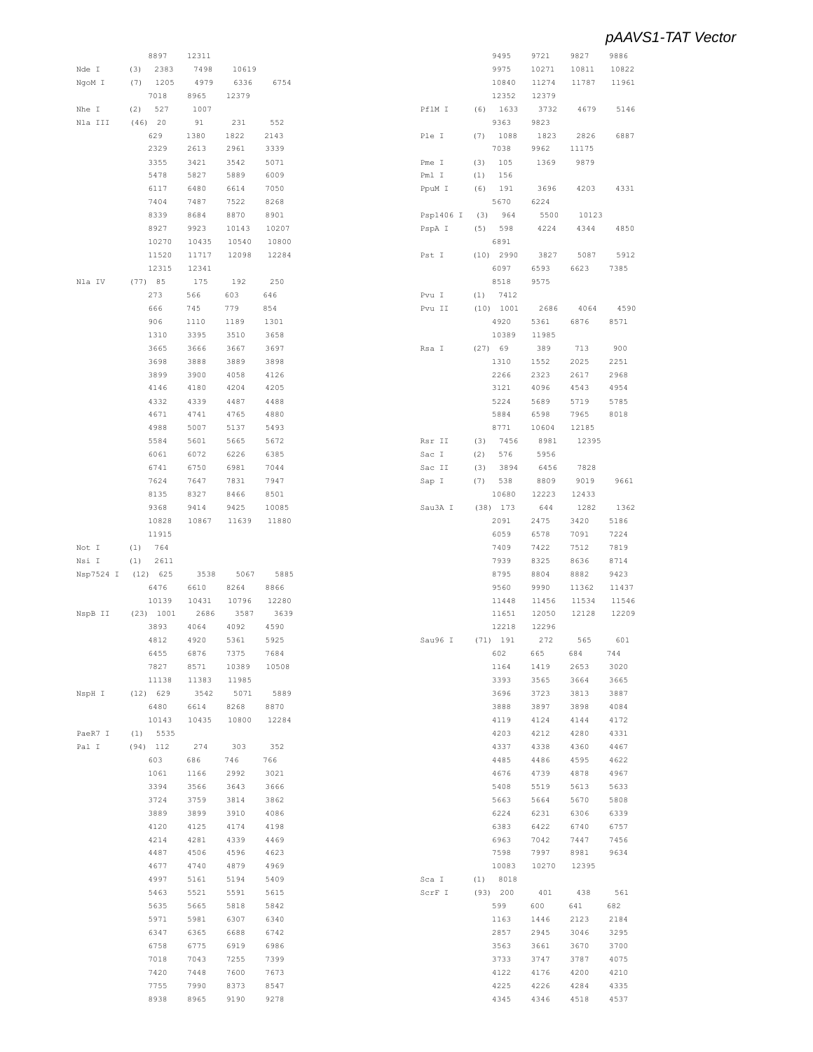|                            | 8897        | 12311 |       |       |           |         | 9495        | 9721  | 9827  | 9886                |
|----------------------------|-------------|-------|-------|-------|-----------|---------|-------------|-------|-------|---------------------|
| Nde I                      | 2383<br>(3) | 7498  | 10619 |       |           |         | 9975        | 10271 | 10811 | 10822               |
| NgoM I                     | 1205<br>(7) | 4979  | 6336  | 6754  |           |         | 10840       | 11274 | 11787 | 11961               |
|                            | 7018        | 8965  | 12379 |       |           |         | 12352       | 12379 |       |                     |
| Nhe I                      | (2)<br>527  | 1007  |       |       | PflM I    |         | $(6)$ 1633  | 3732  | 4679  | 5146                |
|                            |             |       |       |       |           |         |             |       |       |                     |
| Nla III                    | $(46)$ 20   | 91    | 231   | 552   |           |         | 9363        | 9823  |       |                     |
|                            | 629         | 1380  | 1822  | 2143  | Ple I     | (7)     | 1088        | 1823  | 2826  | 6887                |
|                            | 2329        | 2613  | 2961  | 3339  |           |         | 7038        | 9962  | 11175 |                     |
|                            | 3355        | 3421  | 3542  | 5071  | Pme I     | (3)     | 105         | 1369  | 9879  |                     |
|                            | 5478        | 5827  | 5889  | 6009  | Pml I     | (1)     | 156         |       |       |                     |
|                            |             |       |       |       |           |         |             |       |       |                     |
|                            | 6117        | 6480  | 6614  | 7050  | PpuM I    | (6)     | 191         | 3696  | 4203  | 4331                |
|                            | 7404        | 7487  | 7522  | 8268  |           |         | 5670        | 6224  |       |                     |
|                            | 8339        | 8684  | 8870  | 8901  | Psp1406 I | (3)     | 964         | 5500  | 10123 |                     |
|                            | 8927        | 9923  | 10143 | 10207 | PspA I    | (5)     | 598         | 4224  | 4344  | 4850                |
|                            | 10270       | 10435 | 10540 | 10800 |           |         | 6891        |       |       |                     |
|                            | 11520       | 11717 | 12098 | 12284 | Pst I     |         | $(10)$ 2990 | 3827  | 5087  | 5912                |
|                            |             |       |       |       |           |         |             |       |       |                     |
|                            | 12315       | 12341 |       |       |           |         | 6097        | 6593  | 6623  | 7385                |
| Nla IV                     | (77) 85     | 175   | 192   | 250   |           |         | 8518        | 9575  |       |                     |
|                            | 273         | 566   | 603   | 646   | Pvu I     | (1)     | 7412        |       |       |                     |
|                            | 666         | 745   | 779   | 854   | Pvu II    |         | (10) 1001   | 2686  | 4064  | 4590                |
|                            | 906         | 1110  | 1189  | 1301  |           |         | 4920        | 5361  | 6876  | 8571                |
|                            | 1310        | 3395  | 3510  | 3658  |           |         | 10389       | 11985 |       |                     |
|                            |             |       |       |       |           |         |             |       |       |                     |
|                            | 3665        | 3666  | 3667  | 3697  | Rsa I     | (27) 69 |             | 389   | 713   | 900                 |
|                            | 3698        | 3888  | 3889  | 3898  |           |         | 1310        | 1552  | 2025  | 2251                |
|                            | 3899        | 3900  | 4058  | 4126  |           |         | 2266        | 2323  | 2617  | 2968                |
|                            | 4146        | 4180  | 4204  | 4205  |           |         | 3121        | 4096  | 4543  | 4954                |
|                            | 4332        | 4339  | 4487  | 4488  |           |         | 5224        | 5689  | 5719  | 5785                |
|                            |             |       |       |       |           |         |             |       |       |                     |
|                            | 4671        | 4741  | 4765  | 4880  |           |         | 5884        | 6598  | 7965  | 8018                |
|                            | 4988        | 5007  | 5137  | 5493  |           |         | 8771        | 10604 | 12185 |                     |
|                            | 5584        | 5601  | 5665  | 5672  | Rsr II    | (3)     | 7456        | 8981  | 12395 |                     |
|                            | 6061        | 6072  | 6226  | 6385  | Sac I     | (2)     | 576         | 5956  |       |                     |
|                            | 6741        | 6750  | 6981  | 7044  | Sac II    | (3)     | 3894        | 6456  | 7828  |                     |
|                            | 7624        | 7647  | 7831  | 7947  |           | (7)     | 538         | 8809  | 9019  | 9661                |
|                            |             |       |       |       | Sap I     |         |             |       |       |                     |
|                            | 8135        | 8327  | 8466  | 8501  |           |         | 10680       | 12223 | 12433 |                     |
|                            | 9368        | 9414  | 9425  | 10085 | Sau3A I   |         | $(38)$ 173  | 644   | 1282  | 1362                |
|                            | 10828       | 10867 | 11639 | 11880 |           |         | 2091        | 2475  | 3420  | 5186                |
|                            | 11915       |       |       |       |           |         | 6059        | 6578  | 7091  | 7224                |
| Not I                      | (1)<br>764  |       |       |       |           |         | 7409        | 7422  | 7512  | 7819                |
|                            |             |       |       |       |           |         | 7939        | 8325  | 8636  | 8714                |
| Nsi I                      | 2611<br>(1) |       |       |       |           |         |             |       |       |                     |
| Nsp7524 I                  | $(12)$ 625  | 3538  | 5067  | 5885  |           |         | 8795        | 8804  | 8882  | 9423                |
|                            | 6476        | 6610  | 8264  | 8866  |           |         | 9560        | 9990  | 11362 | 11437               |
|                            | 10139       | 10431 | 10796 | 12280 |           |         | 11448       | 11456 | 11534 | 11546               |
| NspB II                    | (23) 1001   | 2686  | 3587  | 3639  |           |         | 11651       | 12050 | 12128 | 12209               |
|                            | 3893        | 4064  | 4092  | 4590  |           |         | 12218       | 12296 |       |                     |
|                            |             | 4920  |       |       |           |         |             |       | 565   |                     |
|                            | 4812        |       | 5361  | 5925  | Sau96 I   |         | (71) 191    | 272   |       |                     |
|                            |             |       |       |       |           |         |             |       |       |                     |
|                            | 6455        | 6876  | 7375  | 7684  |           |         | 602         | 665   | 684   | 744                 |
|                            | 7827        | 8571  | 10389 | 10508 |           |         | 1164        | 1419  | 2653  | 3020                |
|                            | 11138       | 11383 | 11985 |       |           |         | 3393        | 3565  | 3664  | 3665                |
|                            |             |       |       |       |           |         |             |       |       |                     |
|                            | (12) 629    | 3542  | 5071  | 5889  |           |         | 3696        | 3723  | 3813  |                     |
|                            | 6480        | 6614  | 8268  | 8870  |           |         | 3888        | 3897  | 3898  | 3887<br>4084        |
|                            | 10143       | 10435 | 10800 | 12284 |           |         | 4119        | 4124  | 4144  | 601<br>4172         |
|                            | $(1)$ 5535  |       |       |       |           |         | 4203        | 4212  | 4280  | 4331                |
|                            | $(94)$ 112  | 274   | 303   | 352   |           |         | 4337        | 4338  | 4360  | 4467                |
|                            | 603         | 686   | 746   | 766   |           |         | 4485        | 4486  | 4595  | 4622                |
|                            |             |       |       |       |           |         |             |       |       |                     |
|                            | 1061        | 1166  | 2992  | 3021  |           |         | 4676        | 4739  | 4878  |                     |
|                            | 3394        | 3566  | 3643  | 3666  |           |         | 5408        | 5519  | 5613  |                     |
|                            | 3724        | 3759  | 3814  | 3862  |           |         | 5663        | 5664  | 5670  | 5808                |
|                            | 3889        | 3899  | 3910  | 4086  |           |         | 6224        | 6231  | 6306  | 6339                |
|                            | 4120        | 4125  | 4174  | 4198  |           |         | 6383        | 6422  | 6740  | 6757                |
|                            |             |       |       |       |           |         |             |       |       |                     |
|                            | 4214        | 4281  | 4339  | 4469  |           |         | 6963        | 7042  | 7447  |                     |
|                            | 4487        | 4506  | 4596  | 4623  |           |         | 7598        | 7997  | 8981  |                     |
|                            | 4677        | 4740  | 4879  | 4969  |           |         | 10083       | 10270 | 12395 |                     |
|                            | 4997        | 5161  | 5194  | 5409  | Sca I     |         | (1) 8018    |       |       | 7456<br>9634        |
|                            | 5463        | 5521  | 5591  | 5615  | ScrF I    |         | (93) 200    | 401   | 438   |                     |
|                            |             |       |       |       |           |         |             |       |       | 4967<br>5633<br>561 |
| NspH I<br>PaeR7 I<br>Pal I | 5635        | 5665  | 5818  | 5842  |           |         | 599         | 600   | 641   | 682                 |
|                            | 5971        | 5981  | 6307  | 6340  |           |         | 1163        | 1446  | 2123  | 2184                |
|                            | 6347        | 6365  | 6688  | 6742  |           |         | 2857        | 2945  | 3046  | 3295                |
|                            | 6758        | 6775  | 6919  | 6986  |           |         | 3563        | 3661  | 3670  | 3700                |
|                            | 7018        | 7043  | 7255  | 7399  |           |         | 3733        | 3747  | 3787  | 4075                |
|                            |             |       |       |       |           |         |             |       |       |                     |
|                            | 7420        | 7448  | 7600  | 7673  |           |         | 4122        | 4176  | 4200  |                     |
|                            | 7755        | 7990  | 8373  | 8547  |           |         | 4225        | 4226  | 4284  | 4210<br>4335        |
|                            | 8938        | 8965  | 9190  | 9278  |           |         | 4345        | 4346  | 4518  | 4537                |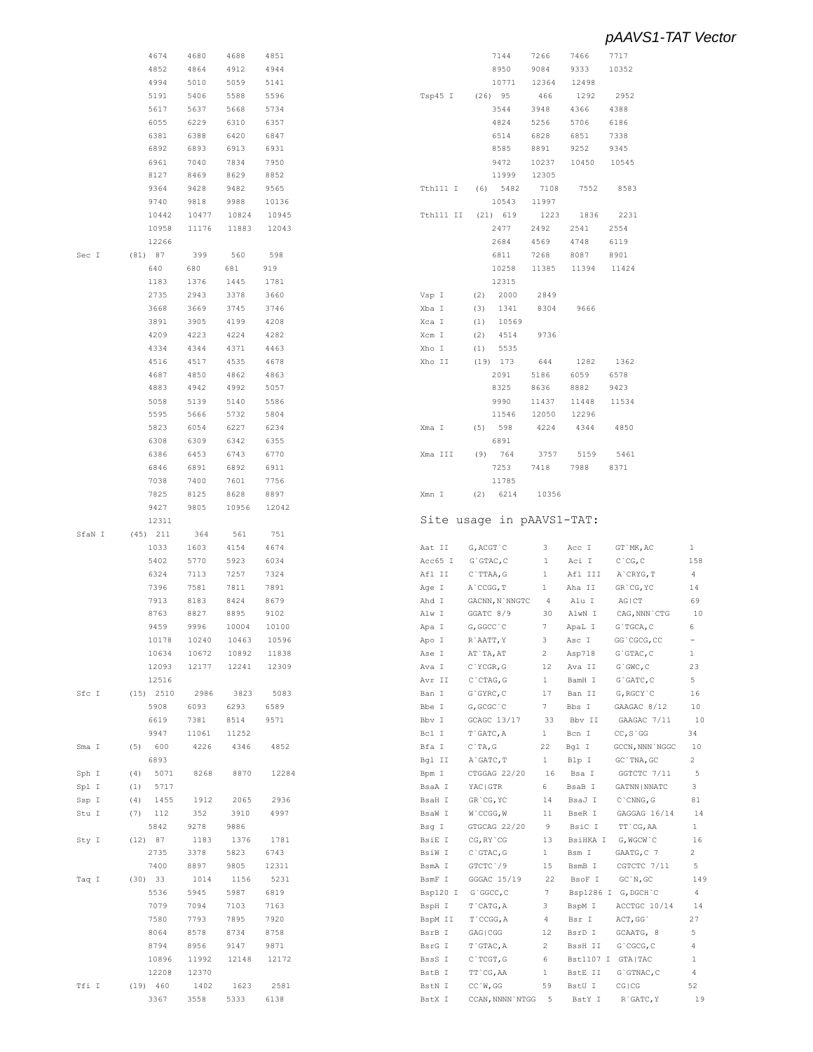|        | 4674               | 4680         | 4688         | 4851         |                  | 7144                         | 7266           | 7466             | 7717                   |                |
|--------|--------------------|--------------|--------------|--------------|------------------|------------------------------|----------------|------------------|------------------------|----------------|
|        | 4852               | 4864         | 4912         | 4944         |                  | 8950                         | 9084           | 9333             | 10352                  |                |
|        | 4994               | 5010         | 5059         | 5141         |                  | 10771                        | 12364          | 12498            |                        |                |
|        |                    |              |              |              |                  |                              |                |                  |                        |                |
|        | 5191               | 5406         | 5588         | 5596         | Tsp45 I          | $(26)$ 95                    | 466            | 1292             | 2952                   |                |
|        | 5617               | 5637         | 5668         | 5734         |                  | 3544                         | 3948           | 4366             | 4388                   |                |
|        | 6055               | 6229         | 6310         | 6357         |                  | 4824                         | 5256           | 5706             | 6186                   |                |
|        | 6381               | 6388         | 6420         | 6847         |                  | 6514                         | 6828           | 6851             | 7338                   |                |
|        | 6892               | 6893         | 6913         | 6931         |                  | 8585                         | 8891           | 9252             | 9345                   |                |
|        |                    |              |              |              |                  |                              |                |                  |                        |                |
|        | 6961               | 7040         | 7834         | 7950         |                  | 9472                         | 10237          | 10450            | 10545                  |                |
|        | 8127               | 8469         | 8629         | 8852         |                  | 11999                        | 12305          |                  |                        |                |
|        | 9364               | 9428         | 9482         | 9565         | Tth111 I         | 5482<br>(6)                  | 7108           | 7552             | 8583                   |                |
|        | 9740               | 9818         | 9988         | 10136        |                  | 10543                        | 11997          |                  |                        |                |
|        |                    |              |              |              |                  |                              |                |                  |                        |                |
|        | 10442              | 10477        | 10824        | 10945        | Tth111 II        | $(21)$ 619                   | 1223           | 1836             | 2231                   |                |
|        | 10958              | 11176        | 11883        | 12043        |                  | 2477                         | 2492           | 2541             | 2554                   |                |
|        | 12266              |              |              |              |                  | 2684                         | 4569           | 4748             | 6119                   |                |
| Sec I  | (81) 87            | 399          | 560          | 598          |                  | 6811                         | 7268           | 8087             | 8901                   |                |
|        |                    |              |              | 919          |                  |                              |                |                  |                        |                |
|        | 640                | 680          | 681          |              |                  | 10258                        | 11385          | 11394            | 11424                  |                |
|        | 1183               | 1376         | 1445         | 1781         |                  | 12315                        |                |                  |                        |                |
|        | 2735               | 2943         | 3378         | 3660         | Vsp I            | 2000<br>(2)                  | 2849           |                  |                        |                |
|        | 3668               | 3669         | 3745         | 3746         | Xba I            | 1341<br>(3)                  | 8304           | 9666             |                        |                |
|        | 3891               | 3905         | 4199         |              |                  | 10569                        |                |                  |                        |                |
|        |                    |              |              | 4208         | Xca I            | (1)                          |                |                  |                        |                |
|        | 4209               | 4223         | 4224         | 4282         | Xcm I            | (2)<br>4514                  | 9736           |                  |                        |                |
|        | 4334               | 4344         | 4371         | 4463         | Xho I            | 5535<br>(1)                  |                |                  |                        |                |
|        | 4516               | 4517         | 4535         | 4678         | Xho II           | $(19)$ 173                   | 644            | 1282             | 1362                   |                |
|        | 4687               | 4850         | 4862         | 4863         |                  | 2091                         | 5186           | 6059             | 6578                   |                |
|        |                    |              |              |              |                  |                              |                |                  |                        |                |
|        | 4883               | 4942         | 4992         | 5057         |                  | 8325                         | 8636           | 8882             | 9423                   |                |
|        | 5058               | 5139         | 5140         | 5586         |                  | 9990                         | 11437          | 11448            | 11534                  |                |
|        | 5595               | 5666         | 5732         | 5804         |                  | 11546                        | 12050          | 12296            |                        |                |
|        | 5823               | 6054         | 6227         | 6234         | Xma I            | 598<br>(5)                   | 4224           | 4344             | 4850                   |                |
|        |                    |              |              |              |                  |                              |                |                  |                        |                |
|        | 6308               | 6309         | 6342         | 6355         |                  | 6891                         |                |                  |                        |                |
|        | 6386               | 6453         | 6743         | 6770         | Xma III          | (9)<br>764                   | 3757           | 5159             | 5461                   |                |
|        | 6846               | 6891         | 6892         | 6911         |                  | 7253                         | 7418           | 7988             | 8371                   |                |
|        | 7038               | 7400         | 7601         | 7756         |                  | 11785                        |                |                  |                        |                |
|        |                    |              |              |              |                  |                              |                |                  |                        |                |
|        | 7825               | 8125         | 8628         | 8897         | Xmn I            | 6214<br>(2)                  | 10356          |                  |                        |                |
|        | 9427               | 9805         | 10956        | 12042        |                  |                              |                |                  |                        |                |
|        | 12311              |              |              |              |                  | Site usage in pAAVS1-TAT:    |                |                  |                        |                |
| SfaN I | $(45)$ 211         | 364          | 561          | 751          |                  |                              |                |                  |                        |                |
|        |                    |              |              |              |                  |                              |                |                  |                        |                |
|        | 1033               | 1603         | 4154         | 4674         | Aat II           | G, ACGT `C                   | 3              | Acc I            | GT `MK, AC             | $\mathbf{1}$   |
|        | 5402               | 5770         | 5923         | 6034         | Acc65 I          | $G$ GTAC, $C$                | 1              | Aci I            | $C$ $CG, C$            | 158            |
|        | 6324               | 7113         | 7257         | 7324         | Afl II           | C`TTAA, G                    | $\mathbf{1}$   | Afl III          | A`CRYG, T              | 4              |
|        | 7396               | 7581         | 7811         | 7891         | Age I            | A CCGG, T                    | 1              | Aha II           | GR`CG, YC              | 14             |
|        | 7913               | 8183         | 8424         | 8679         |                  |                              | $\overline{4}$ |                  |                        | 69             |
|        |                    |              |              |              | Ahd I            | GACNN, N`NNGTC               |                | Alu I            | $AG$ $ CT$             |                |
|        | 8763               | 8827         | 8895         | 9102         | Alw I            | GGATC 8/9                    | 30             | AlwN I           | CAG, NNN `CTG          | 10             |
|        | 9459               | 9996         | 10004        | 10100        | Apa I            | G, GGCC `C                   | 7              | ApaL I           | $G$ `T $GCA$ , C       | 6              |
|        | 10178              | 10240        | 10463        | 10596        | Apo I            | $R$ AATT, Y                  | 3              | Asc I            | GG`CGCG, CC            | $\equiv$       |
|        | 10634              | 10672        | 10892        | 11838        |                  | AT `TA, AT                   | 2              | Asp718           | G`GTAC, C              | $\mathbf{1}$   |
|        |                    |              |              |              | Ase I            |                              |                |                  |                        |                |
|        | 12093              | 12177        | 12241        | 12309        | Ava I            | $C$ `YCGR, G                 | 12             | Ava II           | $G$ $GWC$ , $C$        | 23             |
|        | 12516              |              |              |              | Avr II           | $C$ ctag, $G$                | $\mathbf{1}$   | BamH I           | $G$ GATC, $C$          | 5              |
| Sfc I  | (15) 2510          | 2986         | 3823         | 5083         | Ban I            | $G$ GYRC, $C$                | 17             | Ban II           | $G$ , $RGCY$ $C$       | 16             |
|        | 5908               | 6093         | 6293         | 6589         | Bbe I            | G, GCGC `C                   | 7              | Bbs I            | GAAGAC 8/12            | 10             |
|        |                    |              |              |              |                  |                              |                |                  |                        |                |
|        | 6619               | 7381         | 8514         | 9571         | Bbv I            | GCAGC 13/17                  | 33             | Bbv II           | GAAGAC 7/11            | 10             |
|        | 9947               | 11061        | 11252        |              | Bcl I            | T`GATC, A                    | $\mathbf{1}$   | Bcn I            | $CC, S$ $GG$           | 34             |
| Sma I  | 600<br>(5)         | 4226         | 4346         | 4852         | Bfa I            | $C$ TA, G                    | 22             | Bgl I            | GCCN, NNN `NGGC        | 10             |
|        | 6893               |              |              |              | Bgl II           | A`GATC, T                    | $\mathbf{1}$   | Blp I            | GC `TNA, GC            | $\overline{c}$ |
| Sph I  | (4)<br>5071        | 8268         | 8870         | 12284        | Bpm I            | CTGGAG 22/20                 | 16             | Bsa I            | GGTCTC 7/11            | 5              |
|        |                    |              |              |              |                  |                              |                |                  |                        |                |
| Spl I  | 5717<br>(1)        |              |              |              | BsaA I           | YAC   GTR                    | 6              | BsaB I           | GATNN   NNATC          | 3              |
| Ssp I  | 1455<br>(4)        | 1912         | 2065         | 2936         | BsaH I           | GR CG, YC                    | 14             | BsaJ I           | $C$ $CMNG$ , $G$       | 81             |
| Stu I  | 112<br>(7)         | 352          | 3910         | 4997         | BsaW I           | $W$ `CCGG, $W$               | 11             | BseR I           | GAGGAG 16/14           | 14             |
|        |                    |              |              |              |                  |                              |                |                  |                        |                |
|        | 5842               | 9278         | 9886         |              | Bsg I            | GTGCAG 22/20                 | 9              | BsiC I           | TT`CG, AA              | $\mathbf{1}$   |
| Sty I  | (12) 87            | 1183         | 1376         | 1781         | BsiE I           | $CG, RY$ $CG$                | 13             | BsiHKA I         | G, WGCW`C              | 16             |
|        | 2735               | 3378         | 5823         | 6743         | BsiW I           | $C$ $GTAC$ , $G$             | $\mathbf{1}$   | Bsm I            | GAATG, C 7             | $\overline{c}$ |
|        | 7400               | 8897         | 9805         | 12311        | BsmA I           | GTCTC`/9                     | 15             | BsmB I           | CGTCTC 7/11            | 5              |
| Taq I  | $(30)$ 33          | 1014         | 1156         | 5231         | BsmF I           | GGGAC 15/19                  | 22             | BsoF I           | GC'N, GC               | 149            |
|        |                    |              |              |              |                  |                              |                |                  |                        |                |
|        | 5536               | 5945         | 5987         | 6819         | Bsp120 I         | $G$ `GGCC, C                 | 7              |                  | Bsp1286 I G, DGCH `C   | $\overline{4}$ |
|        | 7079               | 7094         | 7103         | 7163         | BspH I           | T`CATG, A                    | 3              | BspM I           | ACCTGC 10/14           | 14             |
|        | 7580               | 7793         | 7895         | 7920         | BspM II          | T`CCGG, A                    | 4              | Bsr I            | ACT, GG                | 27             |
|        | 8064               | 8578         | 8734         | 8758         | BsrB I           | GAG   CGG                    | 12             | BsrD I           | GCAATG, 8              | 5              |
|        |                    |              |              |              |                  |                              |                |                  |                        |                |
|        | 8794               | 8956         | 9147         | 9871         | BsrG I           | T`GTAC, A                    | 2              | BssH II          | G`CGCG, C              | 4              |
|        |                    |              |              |              |                  |                              |                |                  |                        |                |
|        | 10896              | 11992        | 12148        | 12172        | BssS I           | $C$ TCGT, G                  | 6              |                  | Bst1107 I GTA TAC      | $\mathbf{1}$   |
|        | 12208              | 12370        |              |              | BstB I           | TT `CG, AA                   | $\mathbf{1}$   | BstE II          | G`GTNAC, C             | 4              |
|        |                    |              |              |              |                  |                              |                |                  |                        |                |
| Tfi I  | $(19)$ 460<br>3367 | 1402<br>3558 | 1623<br>5333 | 2581<br>6138 | BstN I<br>BstX I | CC'W, GG<br>CCAN, NNNN `NTGG | 59<br>$-5$     | BstU I<br>BstY I | CG   CG<br>$R$ GATC, Y | 52<br>19       |